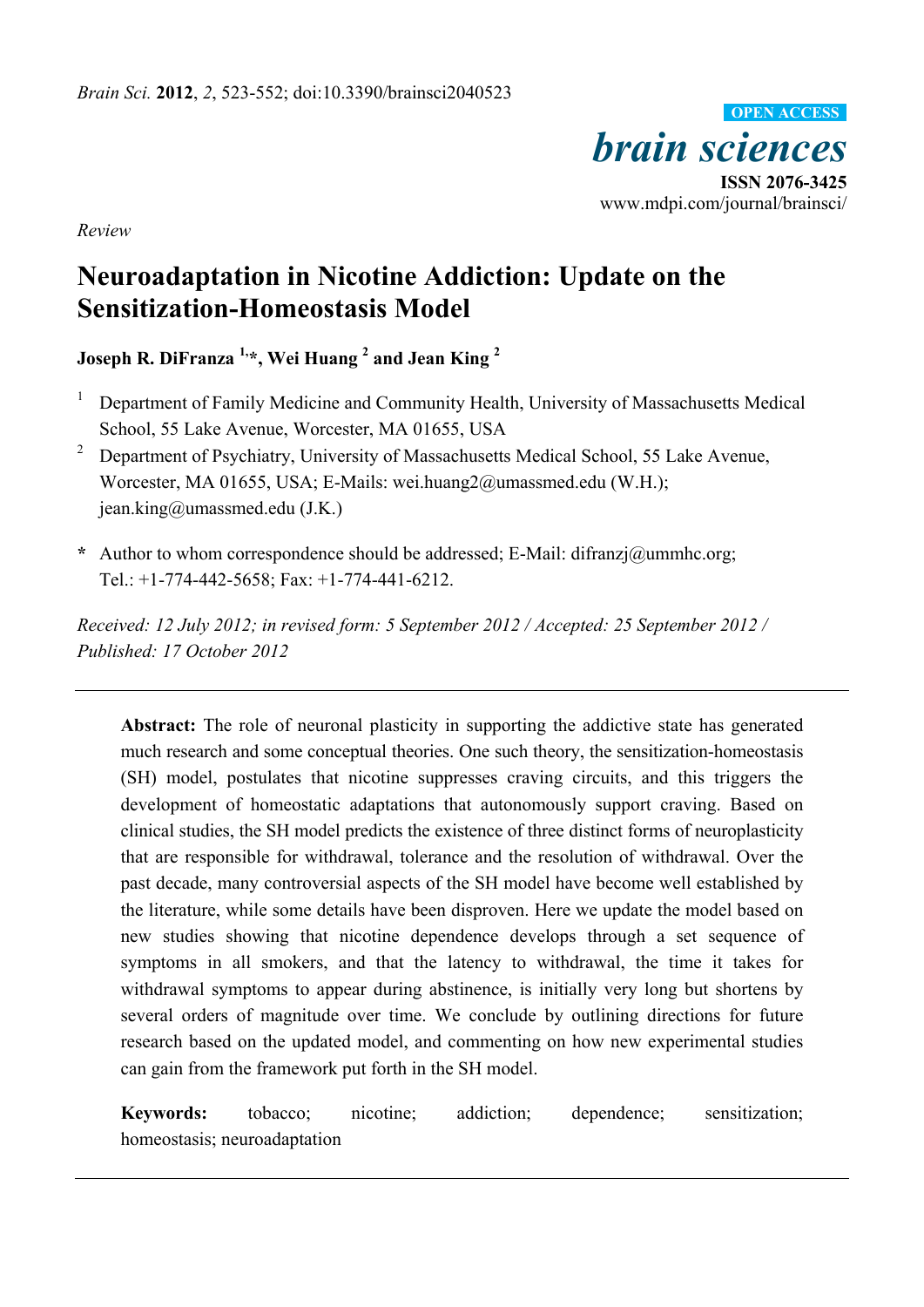

*Review* 

# **Neuroadaptation in Nicotine Addiction: Update on the Sensitization-Homeostasis Model**

**Joseph R. DiFranza 1,\*, Wei Huang 2 and Jean King <sup>2</sup>** 

- 1 Department of Family Medicine and Community Health, University of Massachusetts Medical School, 55 Lake Avenue, Worcester, MA 01655, USA
- 2 Department of Psychiatry, University of Massachusetts Medical School, 55 Lake Avenue, Worcester, MA 01655, USA; E-Mails: wei.huang2@umassmed.edu (W.H.); jean.king@umassmed.edu (J.K.)
- **\*** Author to whom correspondence should be addressed; E-Mail: difranzj@ummhc.org; Tel.: +1-774-442-5658; Fax: +1-774-441-6212.

*Received: 12 July 2012; in revised form: 5 September 2012 / Accepted: 25 September 2012 / Published: 17 October 2012* 

Abstract: The role of neuronal plasticity in supporting the addictive state has generated much research and some conceptual theories. One such theory, the sensitization-homeostasis (SH) model, postulates that nicotine suppresses craving circuits, and this triggers the development of homeostatic adaptations that autonomously support craving. Based on clinical studies, the SH model predicts the existence of three distinct forms of neuroplasticity that are responsible for withdrawal, tolerance and the resolution of withdrawal. Over the past decade, many controversial aspects of the SH model have become well established by the literature, while some details have been disproven. Here we update the model based on new studies showing that nicotine dependence develops through a set sequence of symptoms in all smokers, and that the latency to withdrawal, the time it takes for withdrawal symptoms to appear during abstinence, is initially very long but shortens by several orders of magnitude over time. We conclude by outlining directions for future research based on the updated model, and commenting on how new experimental studies can gain from the framework put forth in the SH model.

**Keywords:** tobacco; nicotine; addiction; dependence; sensitization; homeostasis; neuroadaptation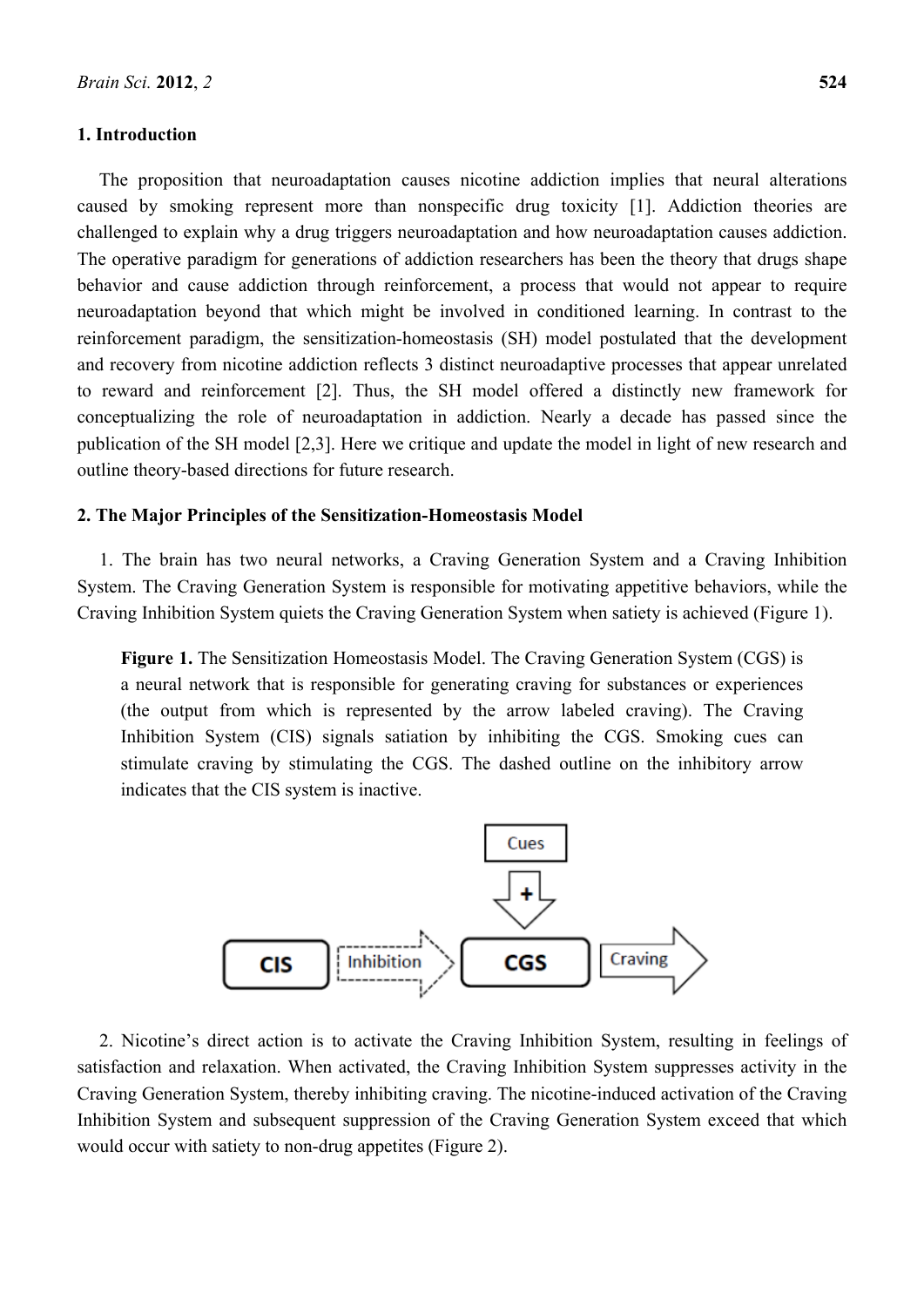### **1. Introduction**

The proposition that neuroadaptation causes nicotine addiction implies that neural alterations caused by smoking represent more than nonspecific drug toxicity [1]. Addiction theories are challenged to explain why a drug triggers neuroadaptation and how neuroadaptation causes addiction. The operative paradigm for generations of addiction researchers has been the theory that drugs shape behavior and cause addiction through reinforcement, a process that would not appear to require neuroadaptation beyond that which might be involved in conditioned learning. In contrast to the reinforcement paradigm, the sensitization-homeostasis (SH) model postulated that the development and recovery from nicotine addiction reflects 3 distinct neuroadaptive processes that appear unrelated to reward and reinforcement [2]. Thus, the SH model offered a distinctly new framework for conceptualizing the role of neuroadaptation in addiction. Nearly a decade has passed since the publication of the SH model [2,3]. Here we critique and update the model in light of new research and outline theory-based directions for future research.

# **2. The Major Principles of the Sensitization-Homeostasis Model**

1. The brain has two neural networks, a Craving Generation System and a Craving Inhibition System. The Craving Generation System is responsible for motivating appetitive behaviors, while the Craving Inhibition System quiets the Craving Generation System when satiety is achieved (Figure 1).

**Figure 1.** The Sensitization Homeostasis Model. The Craving Generation System (CGS) is a neural network that is responsible for generating craving for substances or experiences (the output from which is represented by the arrow labeled craving). The Craving Inhibition System (CIS) signals satiation by inhibiting the CGS. Smoking cues can stimulate craving by stimulating the CGS. The dashed outline on the inhibitory arrow indicates that the CIS system is inactive.



2. Nicotine's direct action is to activate the Craving Inhibition System, resulting in feelings of satisfaction and relaxation. When activated, the Craving Inhibition System suppresses activity in the Craving Generation System, thereby inhibiting craving. The nicotine-induced activation of the Craving Inhibition System and subsequent suppression of the Craving Generation System exceed that which would occur with satiety to non-drug appetites (Figure 2).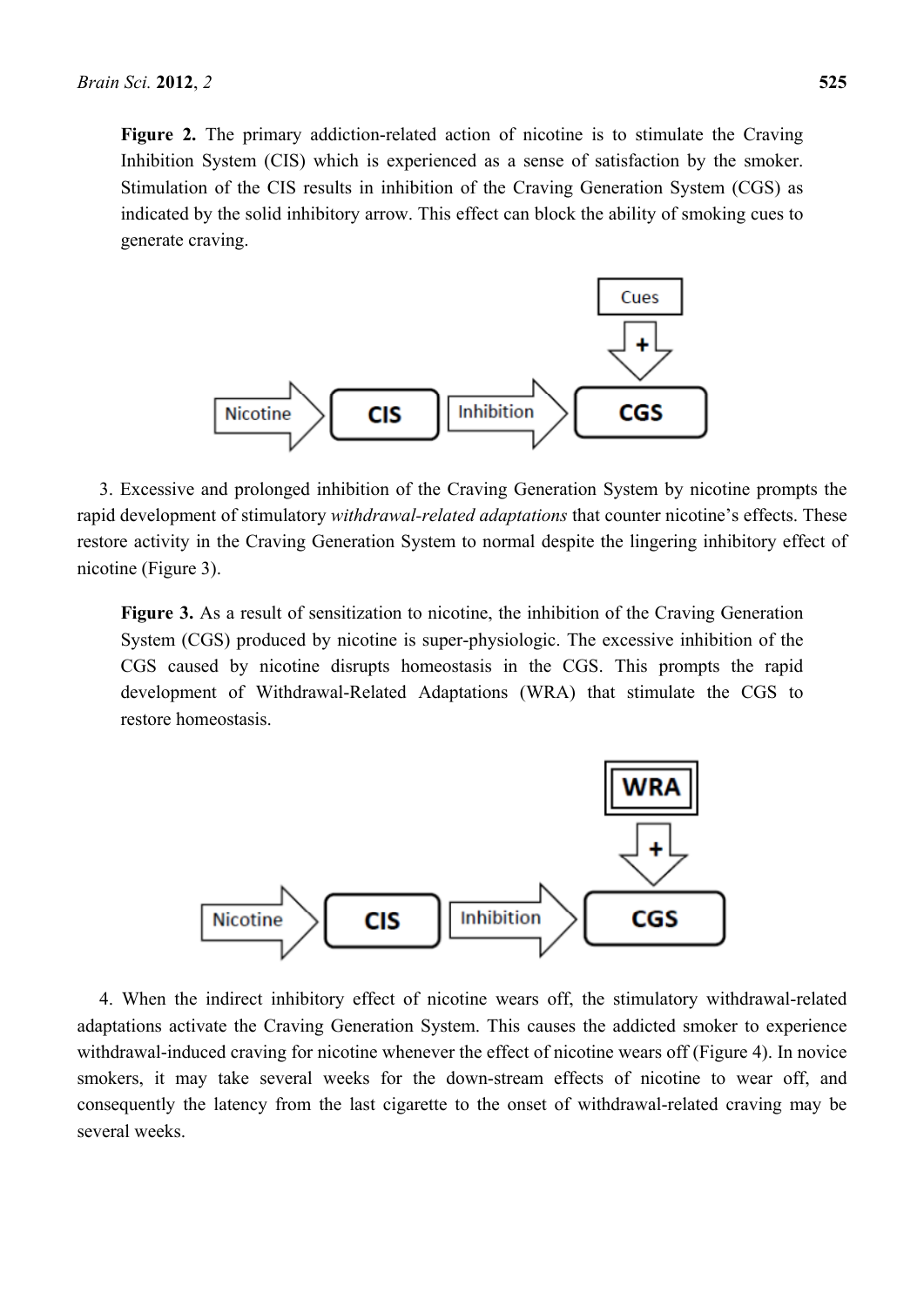Figure 2. The primary addiction-related action of nicotine is to stimulate the Craving Inhibition System (CIS) which is experienced as a sense of satisfaction by the smoker. Stimulation of the CIS results in inhibition of the Craving Generation System (CGS) as indicated by the solid inhibitory arrow. This effect can block the ability of smoking cues to generate craving.



3. Excessive and prolonged inhibition of the Craving Generation System by nicotine prompts the rapid development of stimulatory *withdrawal-related adaptations* that counter nicotine's effects. These restore activity in the Craving Generation System to normal despite the lingering inhibitory effect of nicotine (Figure 3).

**Figure 3.** As a result of sensitization to nicotine, the inhibition of the Craving Generation System (CGS) produced by nicotine is super-physiologic. The excessive inhibition of the CGS caused by nicotine disrupts homeostasis in the CGS. This prompts the rapid development of Withdrawal-Related Adaptations (WRA) that stimulate the CGS to restore homeostasis.



4. When the indirect inhibitory effect of nicotine wears off, the stimulatory withdrawal-related adaptations activate the Craving Generation System. This causes the addicted smoker to experience withdrawal-induced craving for nicotine whenever the effect of nicotine wears off (Figure 4). In novice smokers, it may take several weeks for the down-stream effects of nicotine to wear off, and consequently the latency from the last cigarette to the onset of withdrawal-related craving may be several weeks.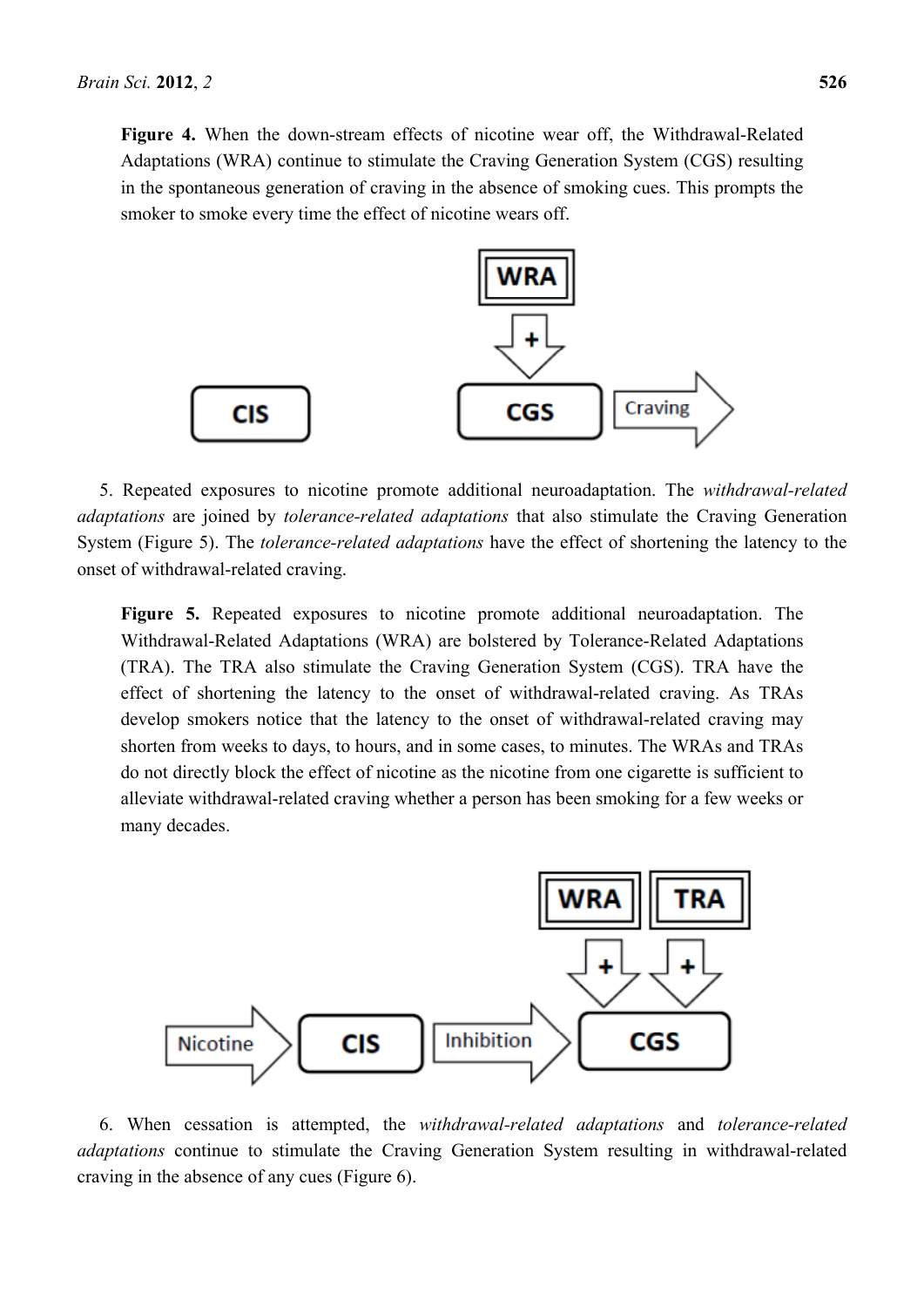**Figure 4.** When the down-stream effects of nicotine wear off, the Withdrawal-Related Adaptations (WRA) continue to stimulate the Craving Generation System (CGS) resulting in the spontaneous generation of craving in the absence of smoking cues. This prompts the smoker to smoke every time the effect of nicotine wears off.



5. Repeated exposures to nicotine promote additional neuroadaptation. The *withdrawal-related adaptations* are joined by *tolerance-related adaptations* that also stimulate the Craving Generation System (Figure 5). The *tolerance-related adaptations* have the effect of shortening the latency to the onset of withdrawal-related craving.

**Figure 5.** Repeated exposures to nicotine promote additional neuroadaptation. The Withdrawal-Related Adaptations (WRA) are bolstered by Tolerance-Related Adaptations (TRA). The TRA also stimulate the Craving Generation System (CGS). TRA have the effect of shortening the latency to the onset of withdrawal-related craving. As TRAs develop smokers notice that the latency to the onset of withdrawal-related craving may shorten from weeks to days, to hours, and in some cases, to minutes. The WRAs and TRAs do not directly block the effect of nicotine as the nicotine from one cigarette is sufficient to alleviate withdrawal-related craving whether a person has been smoking for a few weeks or many decades.



6. When cessation is attempted, the *withdrawal-related adaptations* and *tolerance-related adaptations* continue to stimulate the Craving Generation System resulting in withdrawal-related craving in the absence of any cues (Figure 6).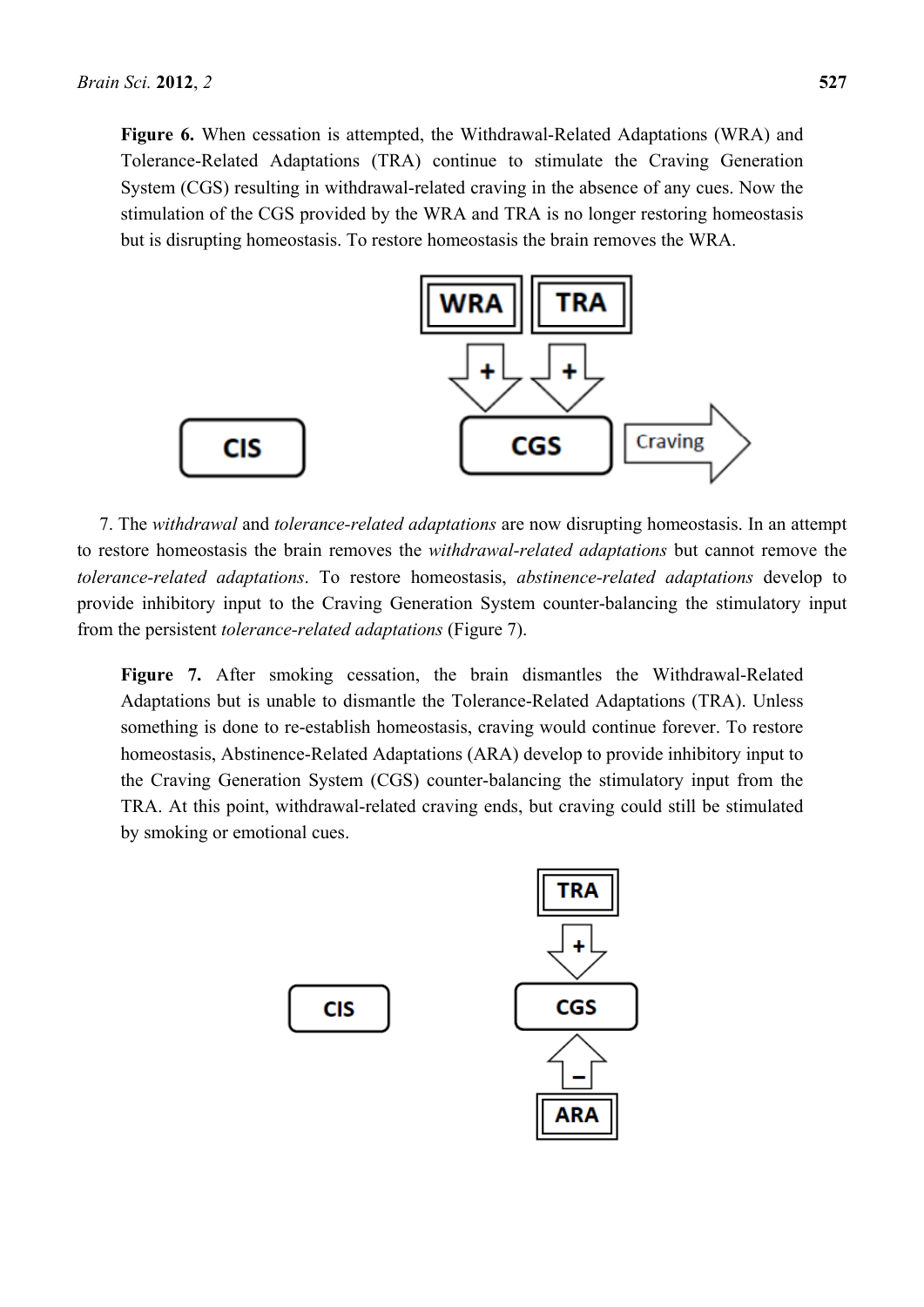**Figure 6.** When cessation is attempted, the Withdrawal-Related Adaptations (WRA) and Tolerance-Related Adaptations (TRA) continue to stimulate the Craving Generation System (CGS) resulting in withdrawal-related craving in the absence of any cues. Now the stimulation of the CGS provided by the WRA and TRA is no longer restoring homeostasis but is disrupting homeostasis. To restore homeostasis the brain removes the WRA.



7. The *withdrawal* and *tolerance-related adaptations* are now disrupting homeostasis. In an attempt to restore homeostasis the brain removes the *withdrawal-related adaptations* but cannot remove the *tolerance-related adaptations*. To restore homeostasis, *abstinence-related adaptations* develop to provide inhibitory input to the Craving Generation System counter-balancing the stimulatory input from the persistent *tolerance-related adaptations* (Figure 7).

**Figure 7.** After smoking cessation, the brain dismantles the Withdrawal-Related Adaptations but is unable to dismantle the Tolerance-Related Adaptations (TRA). Unless something is done to re-establish homeostasis, craving would continue forever. To restore homeostasis, Abstinence-Related Adaptations (ARA) develop to provide inhibitory input to the Craving Generation System (CGS) counter-balancing the stimulatory input from the TRA. At this point, withdrawal-related craving ends, but craving could still be stimulated by smoking or emotional cues.

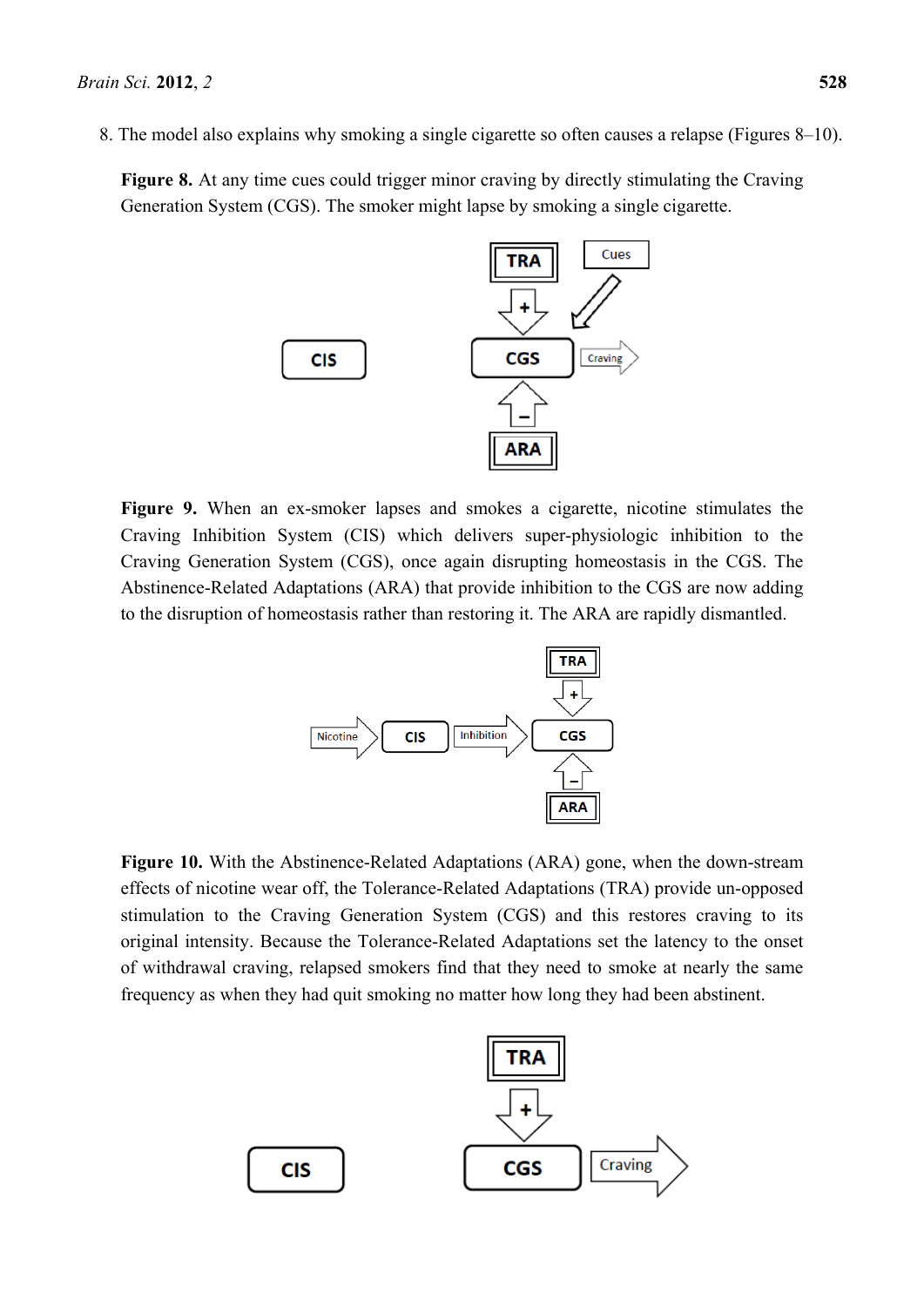**Figure 8.** At any time cues could trigger minor craving by directly stimulating the Craving Generation System (CGS). The smoker might lapse by smoking a single cigarette.



**Figure 9.** When an ex-smoker lapses and smokes a cigarette, nicotine stimulates the Craving Inhibition System (CIS) which delivers super-physiologic inhibition to the Craving Generation System (CGS), once again disrupting homeostasis in the CGS. The Abstinence-Related Adaptations (ARA) that provide inhibition to the CGS are now adding to the disruption of homeostasis rather than restoring it. The ARA are rapidly dismantled.



**Figure 10.** With the Abstinence-Related Adaptations (ARA) gone, when the down-stream effects of nicotine wear off, the Tolerance-Related Adaptations (TRA) provide un-opposed stimulation to the Craving Generation System (CGS) and this restores craving to its original intensity. Because the Tolerance-Related Adaptations set the latency to the onset of withdrawal craving, relapsed smokers find that they need to smoke at nearly the same frequency as when they had quit smoking no matter how long they had been abstinent.

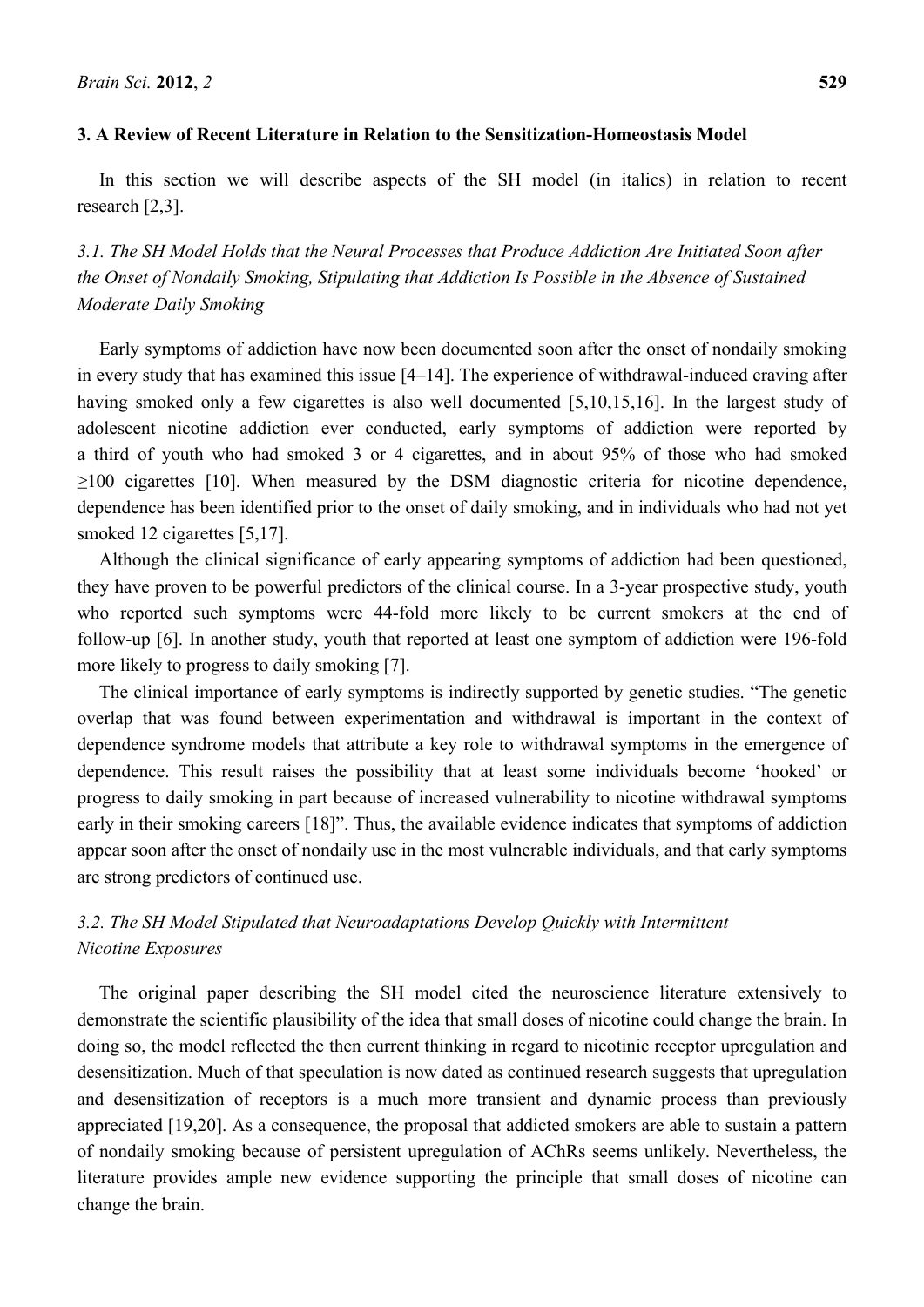In this section we will describe aspects of the SH model (in italics) in relation to recent research [2,3].

*3.1. The SH Model Holds that the Neural Processes that Produce Addiction Are Initiated Soon after the Onset of Nondaily Smoking, Stipulating that Addiction Is Possible in the Absence of Sustained Moderate Daily Smoking* 

Early symptoms of addiction have now been documented soon after the onset of nondaily smoking in every study that has examined this issue [4–14]. The experience of withdrawal-induced craving after having smoked only a few cigarettes is also well documented [5,10,15,16]. In the largest study of adolescent nicotine addiction ever conducted, early symptoms of addiction were reported by a third of youth who had smoked 3 or 4 cigarettes, and in about 95% of those who had smoked ≥100 cigarettes [10]. When measured by the DSM diagnostic criteria for nicotine dependence, dependence has been identified prior to the onset of daily smoking, and in individuals who had not yet smoked 12 cigarettes [5,17].

Although the clinical significance of early appearing symptoms of addiction had been questioned, they have proven to be powerful predictors of the clinical course. In a 3-year prospective study, youth who reported such symptoms were 44-fold more likely to be current smokers at the end of follow-up [6]. In another study, youth that reported at least one symptom of addiction were 196-fold more likely to progress to daily smoking [7].

The clinical importance of early symptoms is indirectly supported by genetic studies. "The genetic overlap that was found between experimentation and withdrawal is important in the context of dependence syndrome models that attribute a key role to withdrawal symptoms in the emergence of dependence. This result raises the possibility that at least some individuals become 'hooked' or progress to daily smoking in part because of increased vulnerability to nicotine withdrawal symptoms early in their smoking careers [18]". Thus, the available evidence indicates that symptoms of addiction appear soon after the onset of nondaily use in the most vulnerable individuals, and that early symptoms are strong predictors of continued use.

# *3.2. The SH Model Stipulated that Neuroadaptations Develop Quickly with Intermittent Nicotine Exposures*

The original paper describing the SH model cited the neuroscience literature extensively to demonstrate the scientific plausibility of the idea that small doses of nicotine could change the brain. In doing so, the model reflected the then current thinking in regard to nicotinic receptor upregulation and desensitization. Much of that speculation is now dated as continued research suggests that upregulation and desensitization of receptors is a much more transient and dynamic process than previously appreciated [19,20]. As a consequence, the proposal that addicted smokers are able to sustain a pattern of nondaily smoking because of persistent upregulation of AChRs seems unlikely. Nevertheless, the literature provides ample new evidence supporting the principle that small doses of nicotine can change the brain.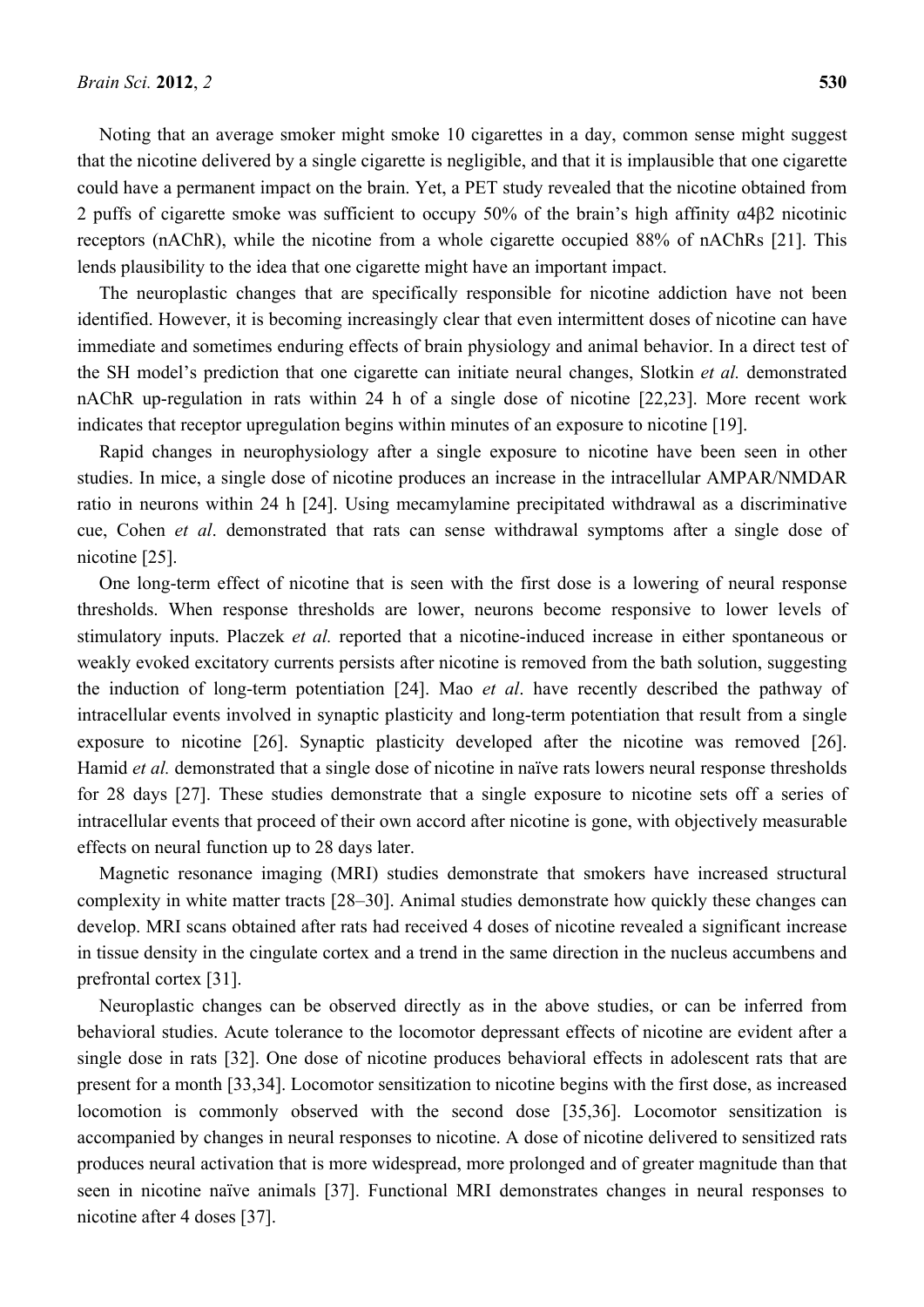Noting that an average smoker might smoke 10 cigarettes in a day, common sense might suggest that the nicotine delivered by a single cigarette is negligible, and that it is implausible that one cigarette could have a permanent impact on the brain. Yet, a PET study revealed that the nicotine obtained from 2 puffs of cigarette smoke was sufficient to occupy 50% of the brain's high affinity α4β2 nicotinic receptors (nAChR), while the nicotine from a whole cigarette occupied 88% of nAChRs [21]. This lends plausibility to the idea that one cigarette might have an important impact.

The neuroplastic changes that are specifically responsible for nicotine addiction have not been identified. However, it is becoming increasingly clear that even intermittent doses of nicotine can have immediate and sometimes enduring effects of brain physiology and animal behavior. In a direct test of the SH model's prediction that one cigarette can initiate neural changes, Slotkin *et al.* demonstrated nAChR up-regulation in rats within 24 h of a single dose of nicotine [22,23]. More recent work indicates that receptor upregulation begins within minutes of an exposure to nicotine [19].

Rapid changes in neurophysiology after a single exposure to nicotine have been seen in other studies. In mice, a single dose of nicotine produces an increase in the intracellular AMPAR/NMDAR ratio in neurons within 24 h [24]. Using mecamylamine precipitated withdrawal as a discriminative cue, Cohen *et al*. demonstrated that rats can sense withdrawal symptoms after a single dose of nicotine [25].

One long-term effect of nicotine that is seen with the first dose is a lowering of neural response thresholds. When response thresholds are lower, neurons become responsive to lower levels of stimulatory inputs. Placzek *et al.* reported that a nicotine-induced increase in either spontaneous or weakly evoked excitatory currents persists after nicotine is removed from the bath solution, suggesting the induction of long-term potentiation [24]. Mao *et al*. have recently described the pathway of intracellular events involved in synaptic plasticity and long-term potentiation that result from a single exposure to nicotine [26]. Synaptic plasticity developed after the nicotine was removed [26]. Hamid *et al.* demonstrated that a single dose of nicotine in naïve rats lowers neural response thresholds for 28 days [27]. These studies demonstrate that a single exposure to nicotine sets off a series of intracellular events that proceed of their own accord after nicotine is gone, with objectively measurable effects on neural function up to 28 days later.

Magnetic resonance imaging (MRI) studies demonstrate that smokers have increased structural complexity in white matter tracts [28–30]. Animal studies demonstrate how quickly these changes can develop. MRI scans obtained after rats had received 4 doses of nicotine revealed a significant increase in tissue density in the cingulate cortex and a trend in the same direction in the nucleus accumbens and prefrontal cortex [31].

Neuroplastic changes can be observed directly as in the above studies, or can be inferred from behavioral studies. Acute tolerance to the locomotor depressant effects of nicotine are evident after a single dose in rats [32]. One dose of nicotine produces behavioral effects in adolescent rats that are present for a month [33,34]. Locomotor sensitization to nicotine begins with the first dose, as increased locomotion is commonly observed with the second dose [35,36]. Locomotor sensitization is accompanied by changes in neural responses to nicotine. A dose of nicotine delivered to sensitized rats produces neural activation that is more widespread, more prolonged and of greater magnitude than that seen in nicotine naïve animals [37]. Functional MRI demonstrates changes in neural responses to nicotine after 4 doses [37].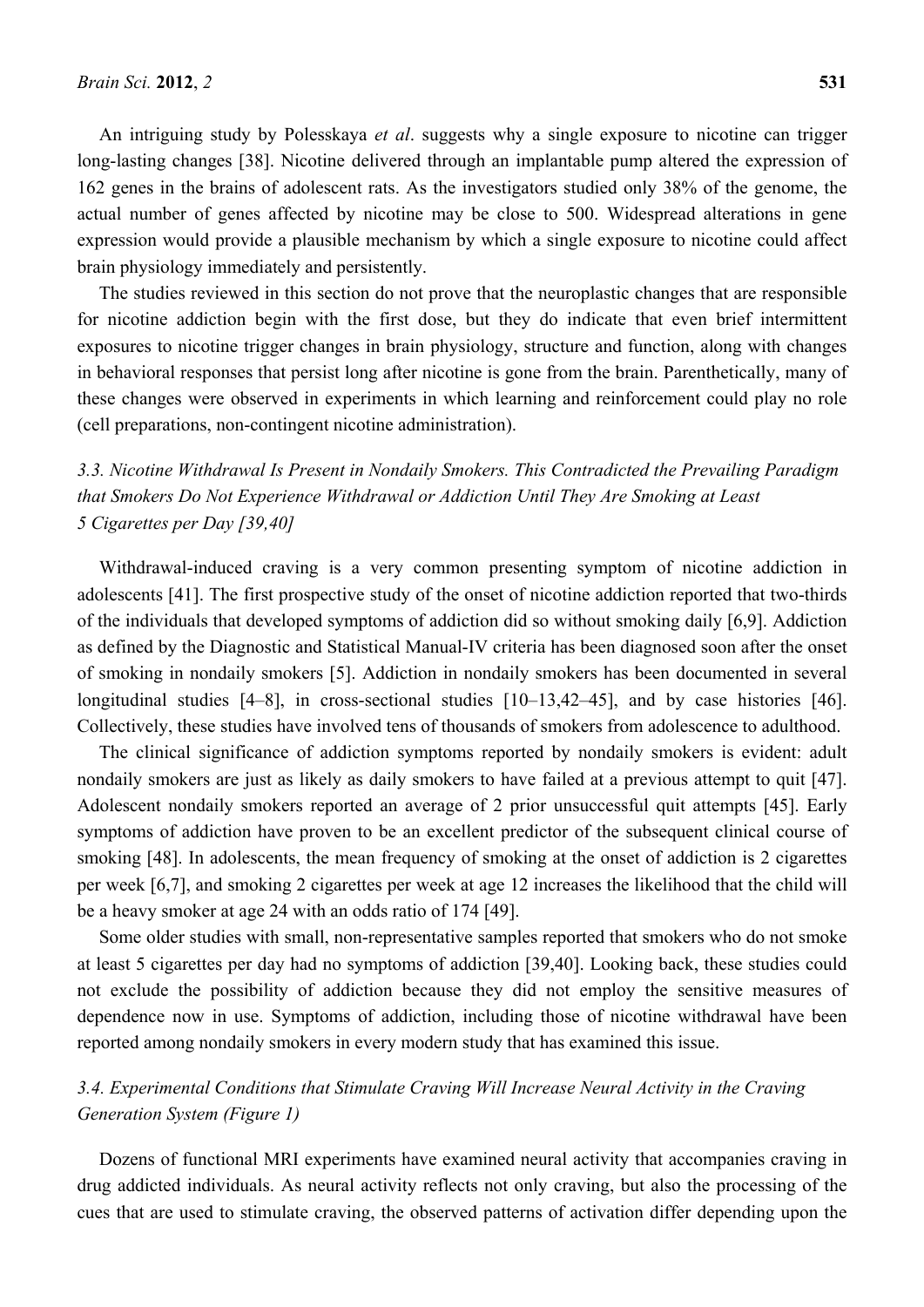An intriguing study by Polesskaya *et al*. suggests why a single exposure to nicotine can trigger long-lasting changes [38]. Nicotine delivered through an implantable pump altered the expression of 162 genes in the brains of adolescent rats. As the investigators studied only 38% of the genome, the actual number of genes affected by nicotine may be close to 500. Widespread alterations in gene expression would provide a plausible mechanism by which a single exposure to nicotine could affect brain physiology immediately and persistently.

The studies reviewed in this section do not prove that the neuroplastic changes that are responsible for nicotine addiction begin with the first dose, but they do indicate that even brief intermittent exposures to nicotine trigger changes in brain physiology, structure and function, along with changes in behavioral responses that persist long after nicotine is gone from the brain. Parenthetically, many of these changes were observed in experiments in which learning and reinforcement could play no role (cell preparations, non-contingent nicotine administration).

*3.3. Nicotine Withdrawal Is Present in Nondaily Smokers. This Contradicted the Prevailing Paradigm that Smokers Do Not Experience Withdrawal or Addiction Until They Are Smoking at Least 5 Cigarettes per Day [39,40]* 

Withdrawal-induced craving is a very common presenting symptom of nicotine addiction in adolescents [41]. The first prospective study of the onset of nicotine addiction reported that two-thirds of the individuals that developed symptoms of addiction did so without smoking daily [6,9]. Addiction as defined by the Diagnostic and Statistical Manual-IV criteria has been diagnosed soon after the onset of smoking in nondaily smokers [5]. Addiction in nondaily smokers has been documented in several longitudinal studies [4–8], in cross-sectional studies [10–13,42–45], and by case histories [46]. Collectively, these studies have involved tens of thousands of smokers from adolescence to adulthood.

The clinical significance of addiction symptoms reported by nondaily smokers is evident: adult nondaily smokers are just as likely as daily smokers to have failed at a previous attempt to quit [47]. Adolescent nondaily smokers reported an average of 2 prior unsuccessful quit attempts [45]. Early symptoms of addiction have proven to be an excellent predictor of the subsequent clinical course of smoking [48]. In adolescents, the mean frequency of smoking at the onset of addiction is 2 cigarettes per week [6,7], and smoking 2 cigarettes per week at age 12 increases the likelihood that the child will be a heavy smoker at age 24 with an odds ratio of 174 [49].

Some older studies with small, non-representative samples reported that smokers who do not smoke at least 5 cigarettes per day had no symptoms of addiction [39,40]. Looking back, these studies could not exclude the possibility of addiction because they did not employ the sensitive measures of dependence now in use. Symptoms of addiction, including those of nicotine withdrawal have been reported among nondaily smokers in every modern study that has examined this issue.

# *3.4. Experimental Conditions that Stimulate Craving Will Increase Neural Activity in the Craving Generation System (Figure 1)*

Dozens of functional MRI experiments have examined neural activity that accompanies craving in drug addicted individuals. As neural activity reflects not only craving, but also the processing of the cues that are used to stimulate craving, the observed patterns of activation differ depending upon the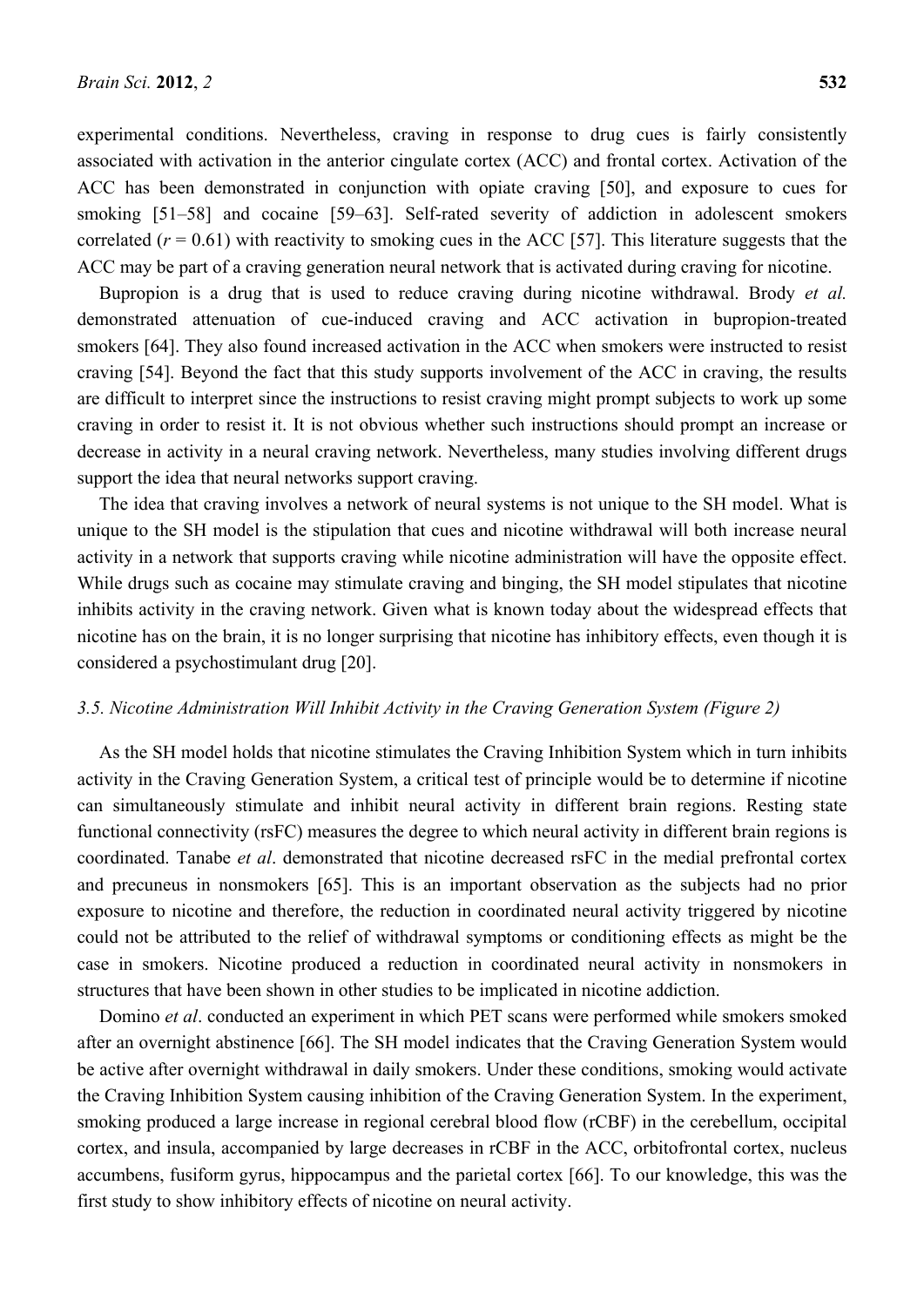experimental conditions. Nevertheless, craving in response to drug cues is fairly consistently associated with activation in the anterior cingulate cortex (ACC) and frontal cortex. Activation of the ACC has been demonstrated in conjunction with opiate craving [50], and exposure to cues for smoking [51–58] and cocaine [59–63]. Self-rated severity of addiction in adolescent smokers correlated  $(r = 0.61)$  with reactivity to smoking cues in the ACC [57]. This literature suggests that the ACC may be part of a craving generation neural network that is activated during craving for nicotine.

Bupropion is a drug that is used to reduce craving during nicotine withdrawal. Brody *et al.*  demonstrated attenuation of cue-induced craving and ACC activation in bupropion-treated smokers [64]. They also found increased activation in the ACC when smokers were instructed to resist craving [54]. Beyond the fact that this study supports involvement of the ACC in craving, the results are difficult to interpret since the instructions to resist craving might prompt subjects to work up some craving in order to resist it. It is not obvious whether such instructions should prompt an increase or decrease in activity in a neural craving network. Nevertheless, many studies involving different drugs support the idea that neural networks support craving.

The idea that craving involves a network of neural systems is not unique to the SH model. What is unique to the SH model is the stipulation that cues and nicotine withdrawal will both increase neural activity in a network that supports craving while nicotine administration will have the opposite effect. While drugs such as cocaine may stimulate craving and binging, the SH model stipulates that nicotine inhibits activity in the craving network. Given what is known today about the widespread effects that nicotine has on the brain, it is no longer surprising that nicotine has inhibitory effects, even though it is considered a psychostimulant drug [20].

## *3.5. Nicotine Administration Will Inhibit Activity in the Craving Generation System (Figure 2)*

As the SH model holds that nicotine stimulates the Craving Inhibition System which in turn inhibits activity in the Craving Generation System, a critical test of principle would be to determine if nicotine can simultaneously stimulate and inhibit neural activity in different brain regions. Resting state functional connectivity (rsFC) measures the degree to which neural activity in different brain regions is coordinated. Tanabe *et al*. demonstrated that nicotine decreased rsFC in the medial prefrontal cortex and precuneus in nonsmokers [65]. This is an important observation as the subjects had no prior exposure to nicotine and therefore, the reduction in coordinated neural activity triggered by nicotine could not be attributed to the relief of withdrawal symptoms or conditioning effects as might be the case in smokers. Nicotine produced a reduction in coordinated neural activity in nonsmokers in structures that have been shown in other studies to be implicated in nicotine addiction.

Domino *et al*. conducted an experiment in which PET scans were performed while smokers smoked after an overnight abstinence [66]. The SH model indicates that the Craving Generation System would be active after overnight withdrawal in daily smokers. Under these conditions, smoking would activate the Craving Inhibition System causing inhibition of the Craving Generation System. In the experiment, smoking produced a large increase in regional cerebral blood flow (rCBF) in the cerebellum, occipital cortex, and insula, accompanied by large decreases in rCBF in the ACC, orbitofrontal cortex, nucleus accumbens, fusiform gyrus, hippocampus and the parietal cortex [66]. To our knowledge, this was the first study to show inhibitory effects of nicotine on neural activity.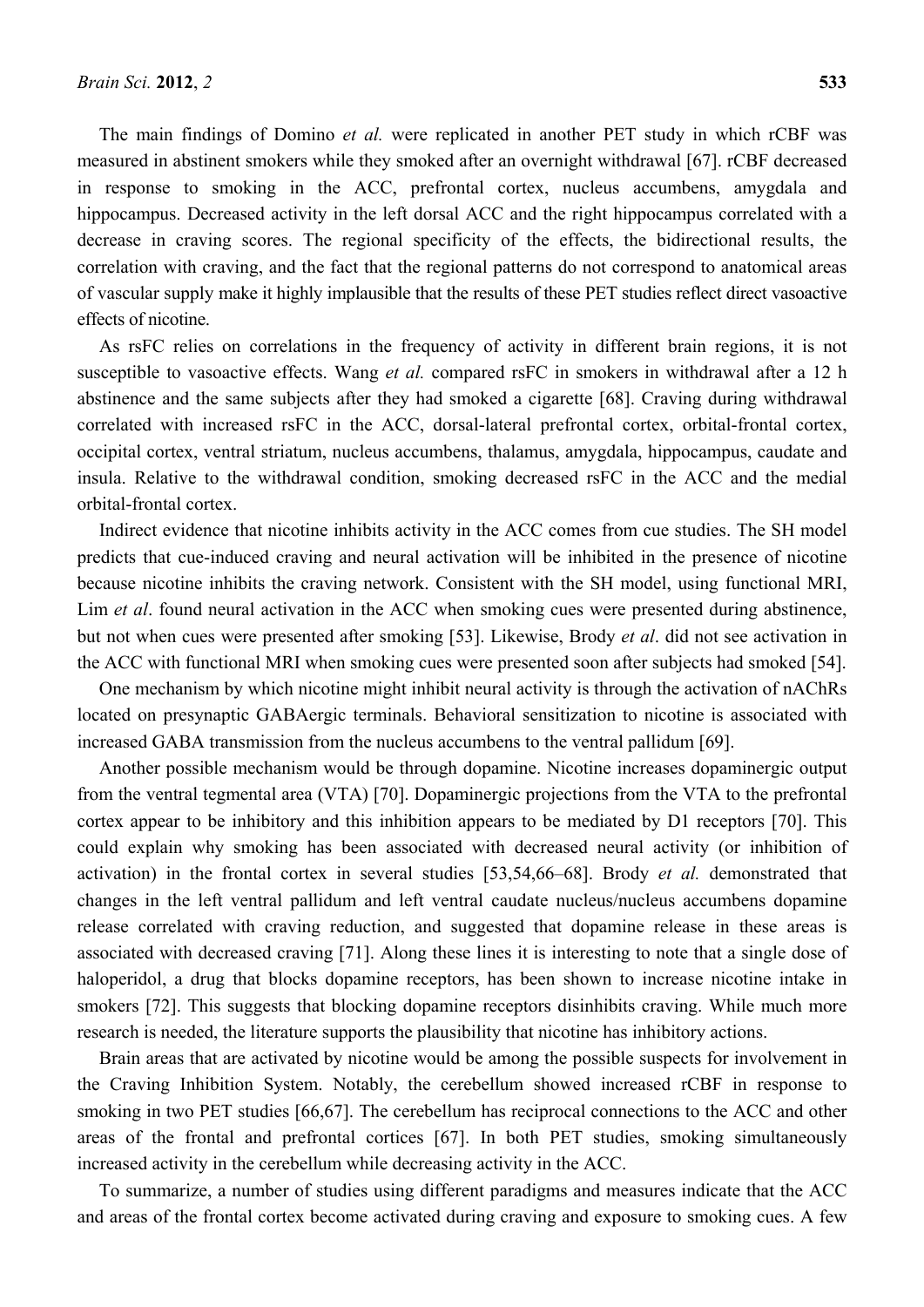The main findings of Domino *et al.* were replicated in another PET study in which rCBF was measured in abstinent smokers while they smoked after an overnight withdrawal [67]. rCBF decreased in response to smoking in the ACC, prefrontal cortex, nucleus accumbens, amygdala and hippocampus. Decreased activity in the left dorsal ACC and the right hippocampus correlated with a decrease in craving scores. The regional specificity of the effects, the bidirectional results, the correlation with craving, and the fact that the regional patterns do not correspond to anatomical areas of vascular supply make it highly implausible that the results of these PET studies reflect direct vasoactive effects of nicotine.

As rsFC relies on correlations in the frequency of activity in different brain regions, it is not susceptible to vasoactive effects. Wang *et al.* compared rsFC in smokers in withdrawal after a 12 h abstinence and the same subjects after they had smoked a cigarette [68]. Craving during withdrawal correlated with increased rsFC in the ACC, dorsal-lateral prefrontal cortex, orbital-frontal cortex, occipital cortex, ventral striatum, nucleus accumbens, thalamus, amygdala, hippocampus, caudate and insula. Relative to the withdrawal condition, smoking decreased rsFC in the ACC and the medial orbital-frontal cortex.

Indirect evidence that nicotine inhibits activity in the ACC comes from cue studies. The SH model predicts that cue-induced craving and neural activation will be inhibited in the presence of nicotine because nicotine inhibits the craving network. Consistent with the SH model, using functional MRI, Lim *et al*. found neural activation in the ACC when smoking cues were presented during abstinence, but not when cues were presented after smoking [53]. Likewise, Brody *et al*. did not see activation in the ACC with functional MRI when smoking cues were presented soon after subjects had smoked [54].

One mechanism by which nicotine might inhibit neural activity is through the activation of nAChRs located on presynaptic GABAergic terminals. Behavioral sensitization to nicotine is associated with increased GABA transmission from the nucleus accumbens to the ventral pallidum [69].

Another possible mechanism would be through dopamine. Nicotine increases dopaminergic output from the ventral tegmental area (VTA) [70]. Dopaminergic projections from the VTA to the prefrontal cortex appear to be inhibitory and this inhibition appears to be mediated by D1 receptors [70]. This could explain why smoking has been associated with decreased neural activity (or inhibition of activation) in the frontal cortex in several studies [53,54,66–68]. Brody *et al.* demonstrated that changes in the left ventral pallidum and left ventral caudate nucleus/nucleus accumbens dopamine release correlated with craving reduction, and suggested that dopamine release in these areas is associated with decreased craving [71]. Along these lines it is interesting to note that a single dose of haloperidol, a drug that blocks dopamine receptors, has been shown to increase nicotine intake in smokers [72]. This suggests that blocking dopamine receptors disinhibits craving. While much more research is needed, the literature supports the plausibility that nicotine has inhibitory actions.

Brain areas that are activated by nicotine would be among the possible suspects for involvement in the Craving Inhibition System. Notably, the cerebellum showed increased rCBF in response to smoking in two PET studies [66,67]. The cerebellum has reciprocal connections to the ACC and other areas of the frontal and prefrontal cortices [67]. In both PET studies, smoking simultaneously increased activity in the cerebellum while decreasing activity in the ACC.

To summarize, a number of studies using different paradigms and measures indicate that the ACC and areas of the frontal cortex become activated during craving and exposure to smoking cues. A few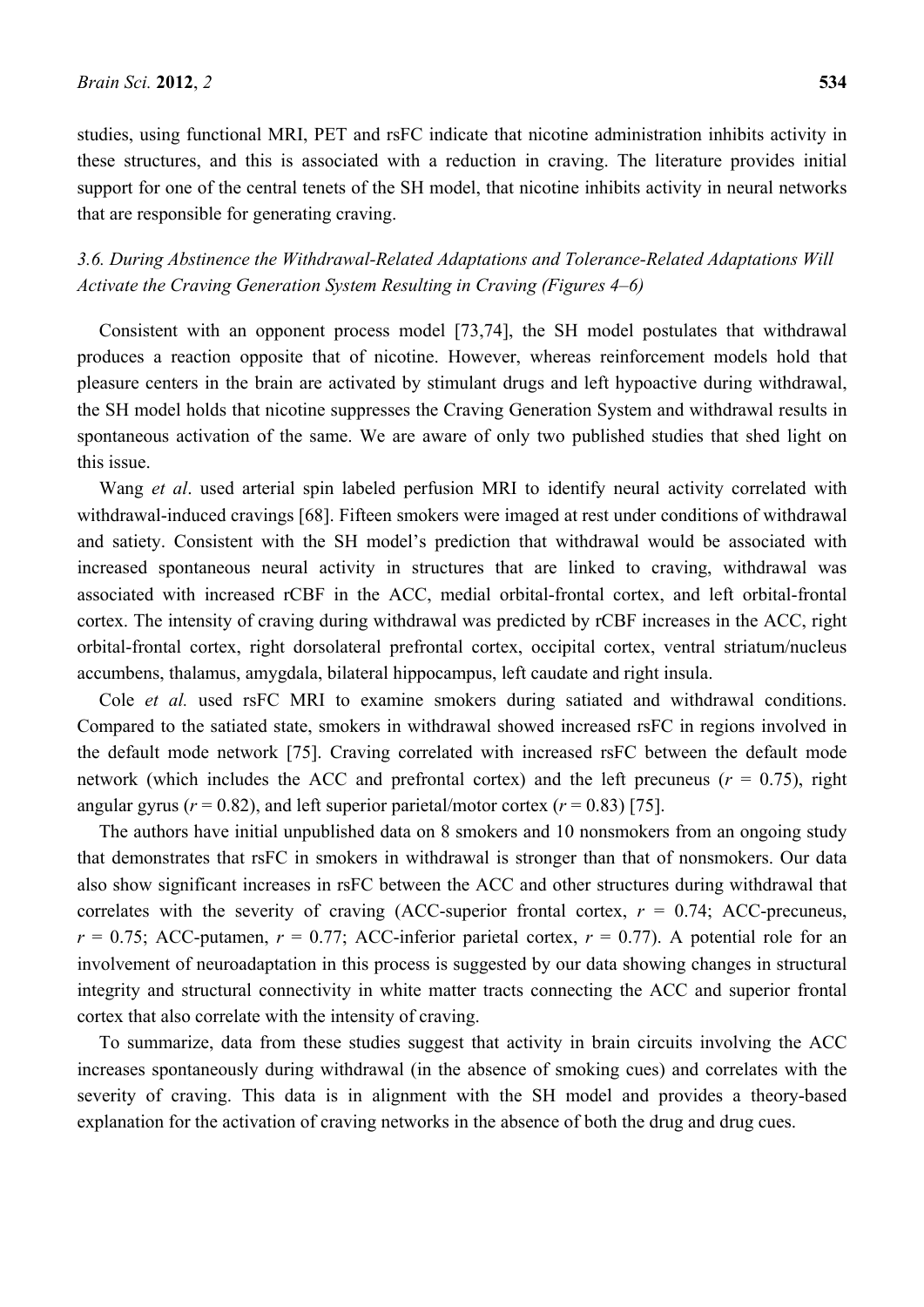studies, using functional MRI, PET and rsFC indicate that nicotine administration inhibits activity in these structures, and this is associated with a reduction in craving. The literature provides initial support for one of the central tenets of the SH model, that nicotine inhibits activity in neural networks that are responsible for generating craving.

# *3.6. During Abstinence the Withdrawal-Related Adaptations and Tolerance-Related Adaptations Will Activate the Craving Generation System Resulting in Craving (Figures 4–6)*

Consistent with an opponent process model [73,74], the SH model postulates that withdrawal produces a reaction opposite that of nicotine. However, whereas reinforcement models hold that pleasure centers in the brain are activated by stimulant drugs and left hypoactive during withdrawal, the SH model holds that nicotine suppresses the Craving Generation System and withdrawal results in spontaneous activation of the same. We are aware of only two published studies that shed light on this issue.

Wang *et al*. used arterial spin labeled perfusion MRI to identify neural activity correlated with withdrawal-induced cravings [68]. Fifteen smokers were imaged at rest under conditions of withdrawal and satiety. Consistent with the SH model's prediction that withdrawal would be associated with increased spontaneous neural activity in structures that are linked to craving, withdrawal was associated with increased rCBF in the ACC, medial orbital-frontal cortex, and left orbital-frontal cortex. The intensity of craving during withdrawal was predicted by rCBF increases in the ACC, right orbital-frontal cortex, right dorsolateral prefrontal cortex, occipital cortex, ventral striatum/nucleus accumbens, thalamus, amygdala, bilateral hippocampus, left caudate and right insula.

Cole *et al.* used rsFC MRI to examine smokers during satiated and withdrawal conditions. Compared to the satiated state, smokers in withdrawal showed increased rsFC in regions involved in the default mode network [75]. Craving correlated with increased rsFC between the default mode network (which includes the ACC and prefrontal cortex) and the left precuneus ( $r = 0.75$ ), right angular gyrus ( $r = 0.82$ ), and left superior parietal/motor cortex ( $r = 0.83$ ) [75].

The authors have initial unpublished data on 8 smokers and 10 nonsmokers from an ongoing study that demonstrates that rsFC in smokers in withdrawal is stronger than that of nonsmokers. Our data also show significant increases in rsFC between the ACC and other structures during withdrawal that correlates with the severity of craving (ACC-superior frontal cortex,  $r = 0.74$ ; ACC-precuneus,  $r = 0.75$ ; ACC-putamen,  $r = 0.77$ ; ACC-inferior parietal cortex,  $r = 0.77$ ). A potential role for an involvement of neuroadaptation in this process is suggested by our data showing changes in structural integrity and structural connectivity in white matter tracts connecting the ACC and superior frontal cortex that also correlate with the intensity of craving.

To summarize, data from these studies suggest that activity in brain circuits involving the ACC increases spontaneously during withdrawal (in the absence of smoking cues) and correlates with the severity of craving. This data is in alignment with the SH model and provides a theory-based explanation for the activation of craving networks in the absence of both the drug and drug cues.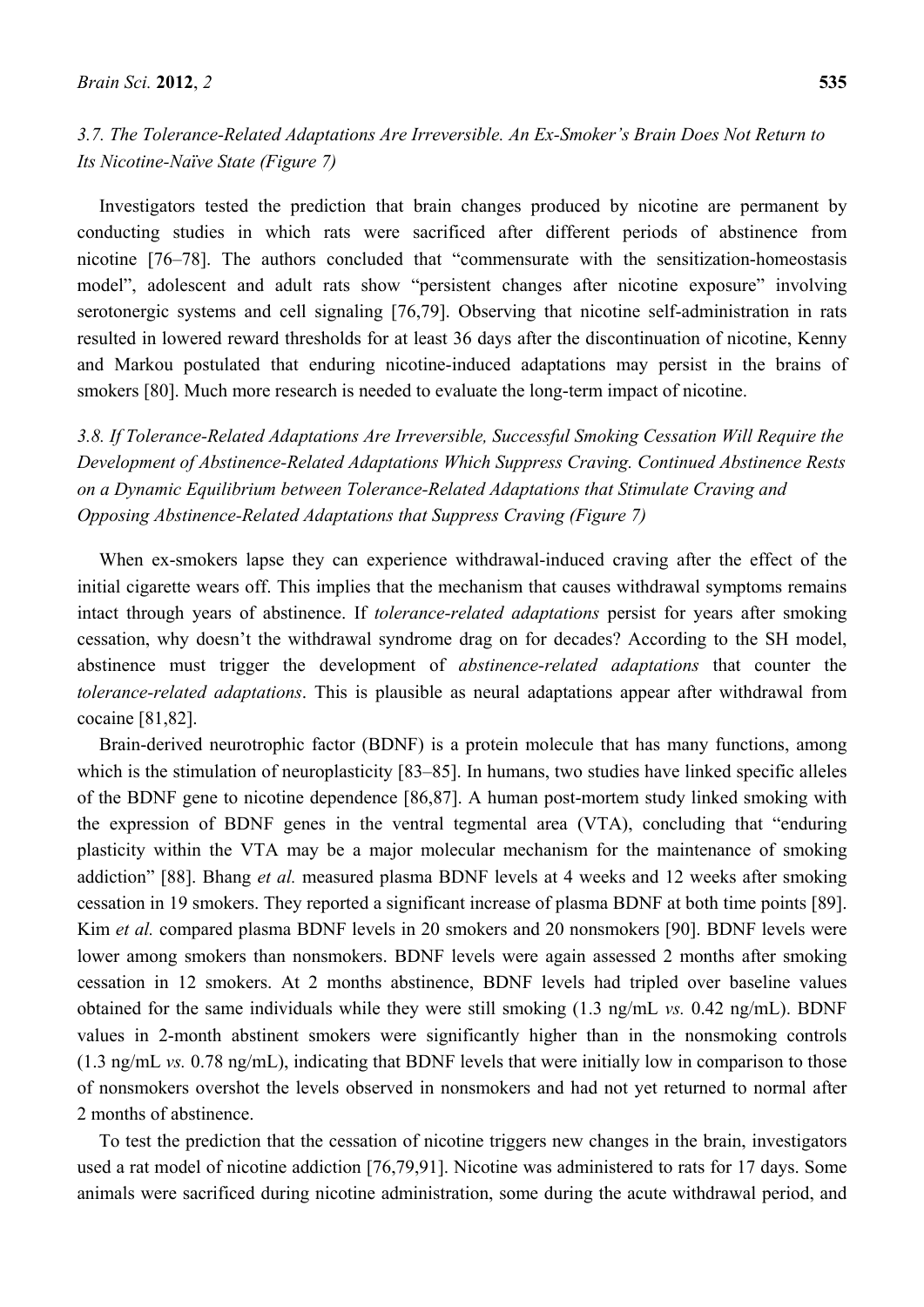# *3.7. The Tolerance-Related Adaptations Are Irreversible. An Ex-Smoker's Brain Does Not Return to Its Nicotine-Naïve State (Figure 7)*

Investigators tested the prediction that brain changes produced by nicotine are permanent by conducting studies in which rats were sacrificed after different periods of abstinence from nicotine [76–78]. The authors concluded that "commensurate with the sensitization-homeostasis model", adolescent and adult rats show "persistent changes after nicotine exposure" involving serotonergic systems and cell signaling [76,79]. Observing that nicotine self-administration in rats resulted in lowered reward thresholds for at least 36 days after the discontinuation of nicotine, Kenny and Markou postulated that enduring nicotine-induced adaptations may persist in the brains of smokers [80]. Much more research is needed to evaluate the long-term impact of nicotine.

*3.8. If Tolerance-Related Adaptations Are Irreversible, Successful Smoking Cessation Will Require the Development of Abstinence-Related Adaptations Which Suppress Craving. Continued Abstinence Rests on a Dynamic Equilibrium between Tolerance-Related Adaptations that Stimulate Craving and Opposing Abstinence-Related Adaptations that Suppress Craving (Figure 7)* 

When ex-smokers lapse they can experience withdrawal-induced craving after the effect of the initial cigarette wears off. This implies that the mechanism that causes withdrawal symptoms remains intact through years of abstinence. If *tolerance-related adaptations* persist for years after smoking cessation, why doesn't the withdrawal syndrome drag on for decades? According to the SH model, abstinence must trigger the development of *abstinence-related adaptations* that counter the *tolerance-related adaptations*. This is plausible as neural adaptations appear after withdrawal from cocaine [81,82].

Brain-derived neurotrophic factor (BDNF) is a protein molecule that has many functions, among which is the stimulation of neuroplasticity [83–85]. In humans, two studies have linked specific alleles of the BDNF gene to nicotine dependence [86,87]. A human post-mortem study linked smoking with the expression of BDNF genes in the ventral tegmental area (VTA), concluding that "enduring plasticity within the VTA may be a major molecular mechanism for the maintenance of smoking addiction" [88]. Bhang *et al.* measured plasma BDNF levels at 4 weeks and 12 weeks after smoking cessation in 19 smokers. They reported a significant increase of plasma BDNF at both time points [89]. Kim *et al.* compared plasma BDNF levels in 20 smokers and 20 nonsmokers [90]. BDNF levels were lower among smokers than nonsmokers. BDNF levels were again assessed 2 months after smoking cessation in 12 smokers. At 2 months abstinence, BDNF levels had tripled over baseline values obtained for the same individuals while they were still smoking (1.3 ng/mL *vs.* 0.42 ng/mL). BDNF values in 2-month abstinent smokers were significantly higher than in the nonsmoking controls (1.3 ng/mL *vs.* 0.78 ng/mL), indicating that BDNF levels that were initially low in comparison to those of nonsmokers overshot the levels observed in nonsmokers and had not yet returned to normal after 2 months of abstinence.

To test the prediction that the cessation of nicotine triggers new changes in the brain, investigators used a rat model of nicotine addiction [76,79,91]. Nicotine was administered to rats for 17 days. Some animals were sacrificed during nicotine administration, some during the acute withdrawal period, and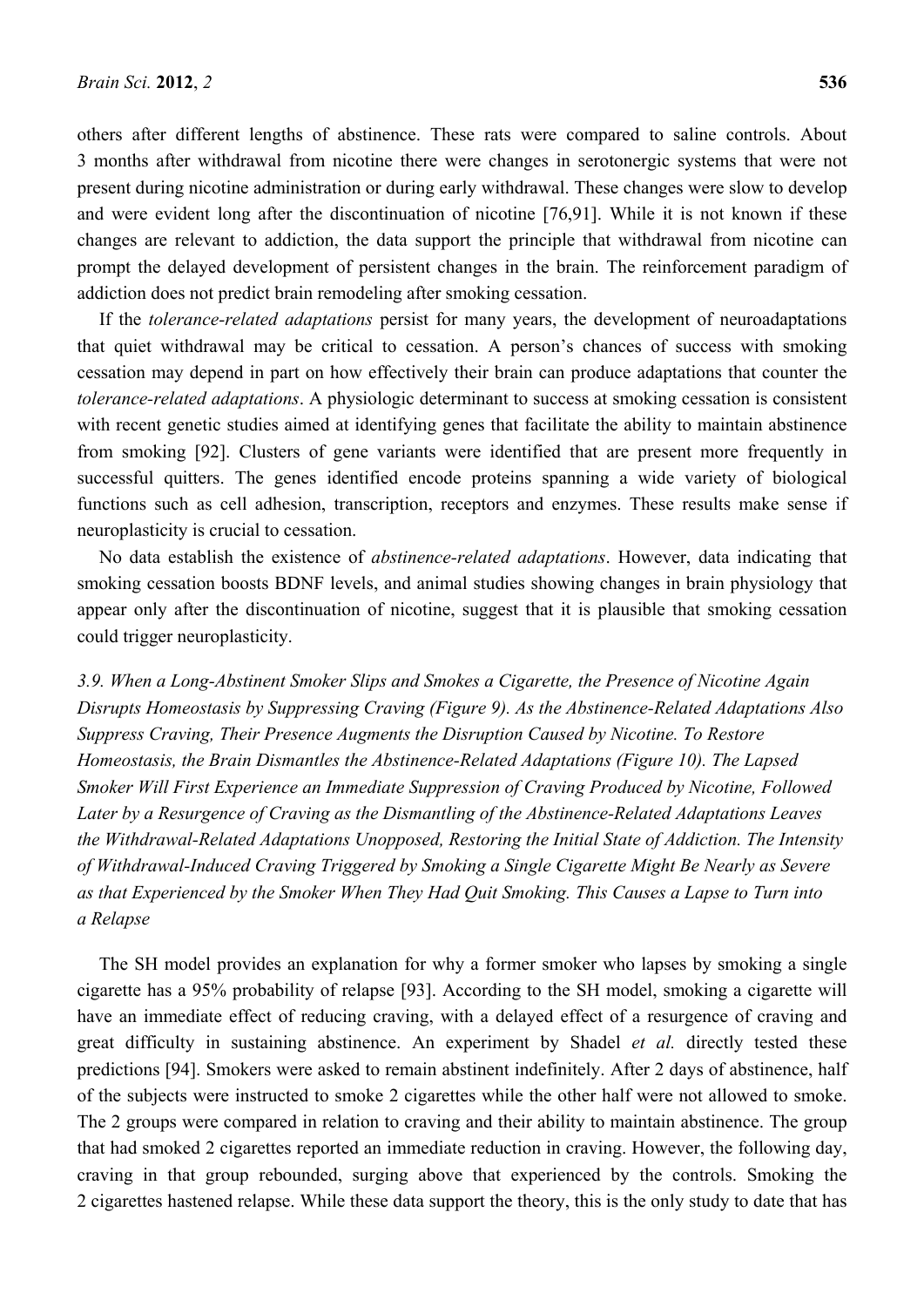others after different lengths of abstinence. These rats were compared to saline controls. About 3 months after withdrawal from nicotine there were changes in serotonergic systems that were not present during nicotine administration or during early withdrawal. These changes were slow to develop and were evident long after the discontinuation of nicotine [76,91]. While it is not known if these changes are relevant to addiction, the data support the principle that withdrawal from nicotine can prompt the delayed development of persistent changes in the brain. The reinforcement paradigm of addiction does not predict brain remodeling after smoking cessation.

If the *tolerance-related adaptations* persist for many years, the development of neuroadaptations that quiet withdrawal may be critical to cessation. A person's chances of success with smoking cessation may depend in part on how effectively their brain can produce adaptations that counter the *tolerance-related adaptations*. A physiologic determinant to success at smoking cessation is consistent with recent genetic studies aimed at identifying genes that facilitate the ability to maintain abstinence from smoking [92]. Clusters of gene variants were identified that are present more frequently in successful quitters. The genes identified encode proteins spanning a wide variety of biological functions such as cell adhesion, transcription, receptors and enzymes. These results make sense if neuroplasticity is crucial to cessation.

No data establish the existence of *abstinence-related adaptations*. However, data indicating that smoking cessation boosts BDNF levels, and animal studies showing changes in brain physiology that appear only after the discontinuation of nicotine, suggest that it is plausible that smoking cessation could trigger neuroplasticity.

*3.9. When a Long-Abstinent Smoker Slips and Smokes a Cigarette, the Presence of Nicotine Again Disrupts Homeostasis by Suppressing Craving (Figure 9). As the Abstinence-Related Adaptations Also Suppress Craving, Their Presence Augments the Disruption Caused by Nicotine. To Restore Homeostasis, the Brain Dismantles the Abstinence-Related Adaptations (Figure 10). The Lapsed Smoker Will First Experience an Immediate Suppression of Craving Produced by Nicotine, Followed Later by a Resurgence of Craving as the Dismantling of the Abstinence-Related Adaptations Leaves the Withdrawal-Related Adaptations Unopposed, Restoring the Initial State of Addiction. The Intensity of Withdrawal-Induced Craving Triggered by Smoking a Single Cigarette Might Be Nearly as Severe as that Experienced by the Smoker When They Had Quit Smoking. This Causes a Lapse to Turn into a Relapse* 

The SH model provides an explanation for why a former smoker who lapses by smoking a single cigarette has a 95% probability of relapse [93]. According to the SH model, smoking a cigarette will have an immediate effect of reducing craving, with a delayed effect of a resurgence of craving and great difficulty in sustaining abstinence. An experiment by Shadel *et al.* directly tested these predictions [94]. Smokers were asked to remain abstinent indefinitely. After 2 days of abstinence, half of the subjects were instructed to smoke 2 cigarettes while the other half were not allowed to smoke. The 2 groups were compared in relation to craving and their ability to maintain abstinence. The group that had smoked 2 cigarettes reported an immediate reduction in craving. However, the following day, craving in that group rebounded, surging above that experienced by the controls. Smoking the 2 cigarettes hastened relapse. While these data support the theory, this is the only study to date that has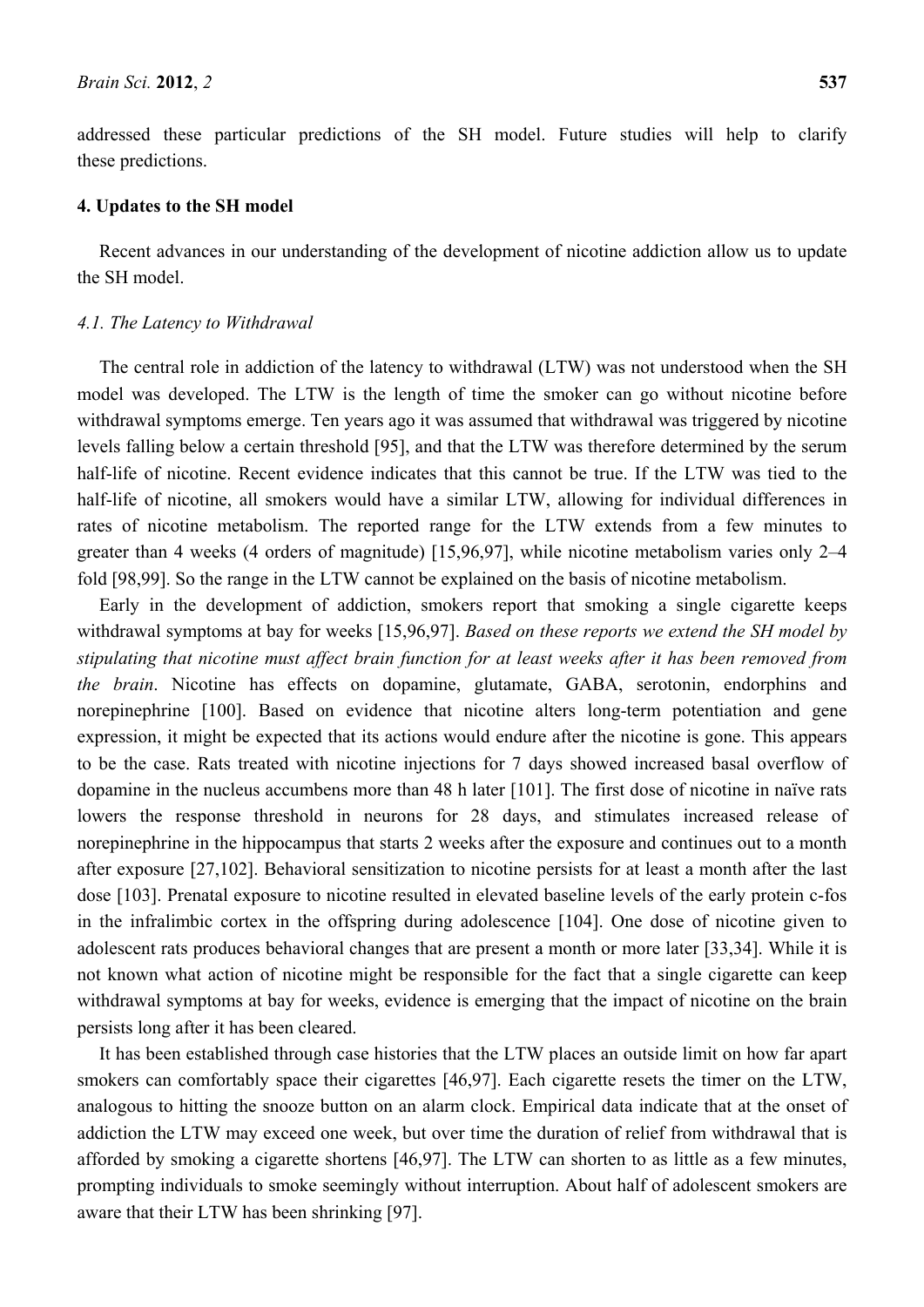addressed these particular predictions of the SH model. Future studies will help to clarify these predictions.

#### **4. Updates to the SH model**

Recent advances in our understanding of the development of nicotine addiction allow us to update the SH model.

#### *4.1. The Latency to Withdrawal*

The central role in addiction of the latency to withdrawal (LTW) was not understood when the SH model was developed. The LTW is the length of time the smoker can go without nicotine before withdrawal symptoms emerge. Ten years ago it was assumed that withdrawal was triggered by nicotine levels falling below a certain threshold [95], and that the LTW was therefore determined by the serum half-life of nicotine. Recent evidence indicates that this cannot be true. If the LTW was tied to the half-life of nicotine, all smokers would have a similar LTW, allowing for individual differences in rates of nicotine metabolism. The reported range for the LTW extends from a few minutes to greater than 4 weeks (4 orders of magnitude) [15,96,97], while nicotine metabolism varies only 2–4 fold [98,99]. So the range in the LTW cannot be explained on the basis of nicotine metabolism.

Early in the development of addiction, smokers report that smoking a single cigarette keeps withdrawal symptoms at bay for weeks [15,96,97]. *Based on these reports we extend the SH model by stipulating that nicotine must affect brain function for at least weeks after it has been removed from the brain*. Nicotine has effects on dopamine, glutamate, GABA, serotonin, endorphins and norepinephrine [100]. Based on evidence that nicotine alters long-term potentiation and gene expression, it might be expected that its actions would endure after the nicotine is gone. This appears to be the case. Rats treated with nicotine injections for 7 days showed increased basal overflow of dopamine in the nucleus accumbens more than 48 h later [101]. The first dose of nicotine in naïve rats lowers the response threshold in neurons for 28 days, and stimulates increased release of norepinephrine in the hippocampus that starts 2 weeks after the exposure and continues out to a month after exposure [27,102]. Behavioral sensitization to nicotine persists for at least a month after the last dose [103]. Prenatal exposure to nicotine resulted in elevated baseline levels of the early protein c-fos in the infralimbic cortex in the offspring during adolescence [104]. One dose of nicotine given to adolescent rats produces behavioral changes that are present a month or more later [33,34]. While it is not known what action of nicotine might be responsible for the fact that a single cigarette can keep withdrawal symptoms at bay for weeks, evidence is emerging that the impact of nicotine on the brain persists long after it has been cleared.

It has been established through case histories that the LTW places an outside limit on how far apart smokers can comfortably space their cigarettes [46,97]. Each cigarette resets the timer on the LTW, analogous to hitting the snooze button on an alarm clock. Empirical data indicate that at the onset of addiction the LTW may exceed one week, but over time the duration of relief from withdrawal that is afforded by smoking a cigarette shortens [46,97]. The LTW can shorten to as little as a few minutes, prompting individuals to smoke seemingly without interruption. About half of adolescent smokers are aware that their LTW has been shrinking [97].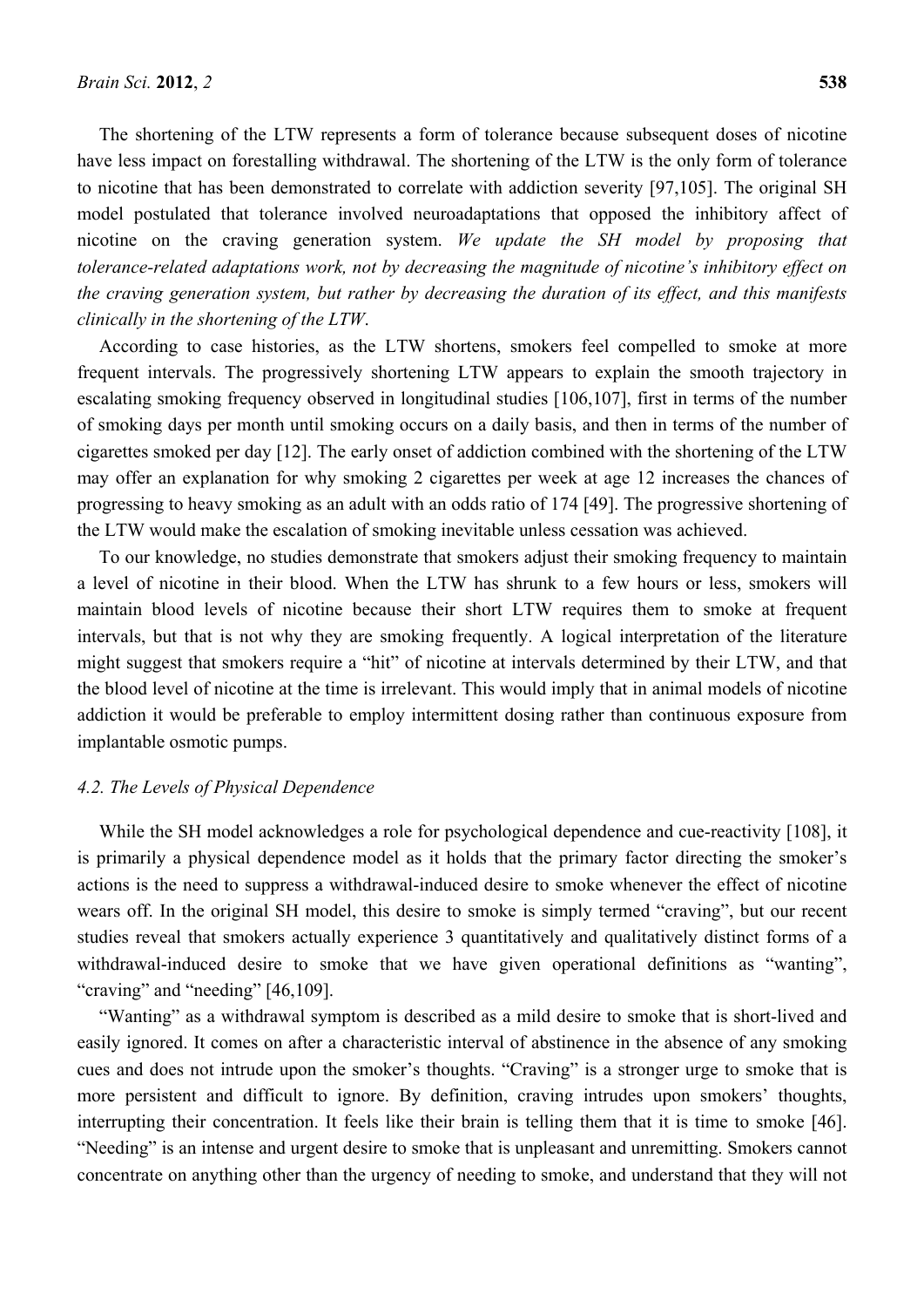The shortening of the LTW represents a form of tolerance because subsequent doses of nicotine have less impact on forestalling withdrawal. The shortening of the LTW is the only form of tolerance to nicotine that has been demonstrated to correlate with addiction severity [97,105]. The original SH model postulated that tolerance involved neuroadaptations that opposed the inhibitory affect of nicotine on the craving generation system. *We update the SH model by proposing that tolerance-related adaptations work, not by decreasing the magnitude of nicotine's inhibitory effect on the craving generation system, but rather by decreasing the duration of its effect, and this manifests clinically in the shortening of the LTW*.

According to case histories, as the LTW shortens, smokers feel compelled to smoke at more frequent intervals. The progressively shortening LTW appears to explain the smooth trajectory in escalating smoking frequency observed in longitudinal studies [106,107], first in terms of the number of smoking days per month until smoking occurs on a daily basis, and then in terms of the number of cigarettes smoked per day [12]. The early onset of addiction combined with the shortening of the LTW may offer an explanation for why smoking 2 cigarettes per week at age 12 increases the chances of progressing to heavy smoking as an adult with an odds ratio of 174 [49]. The progressive shortening of the LTW would make the escalation of smoking inevitable unless cessation was achieved.

To our knowledge, no studies demonstrate that smokers adjust their smoking frequency to maintain a level of nicotine in their blood. When the LTW has shrunk to a few hours or less, smokers will maintain blood levels of nicotine because their short LTW requires them to smoke at frequent intervals, but that is not why they are smoking frequently. A logical interpretation of the literature might suggest that smokers require a "hit" of nicotine at intervals determined by their LTW, and that the blood level of nicotine at the time is irrelevant. This would imply that in animal models of nicotine addiction it would be preferable to employ intermittent dosing rather than continuous exposure from implantable osmotic pumps.

#### *4.2. The Levels of Physical Dependence*

While the SH model acknowledges a role for psychological dependence and cue-reactivity [108], it is primarily a physical dependence model as it holds that the primary factor directing the smoker's actions is the need to suppress a withdrawal-induced desire to smoke whenever the effect of nicotine wears off. In the original SH model, this desire to smoke is simply termed "craving", but our recent studies reveal that smokers actually experience 3 quantitatively and qualitatively distinct forms of a withdrawal-induced desire to smoke that we have given operational definitions as "wanting", "craving" and "needing" [46,109].

"Wanting" as a withdrawal symptom is described as a mild desire to smoke that is short-lived and easily ignored. It comes on after a characteristic interval of abstinence in the absence of any smoking cues and does not intrude upon the smoker's thoughts. "Craving" is a stronger urge to smoke that is more persistent and difficult to ignore. By definition, craving intrudes upon smokers' thoughts, interrupting their concentration. It feels like their brain is telling them that it is time to smoke [46]. "Needing" is an intense and urgent desire to smoke that is unpleasant and unremitting. Smokers cannot concentrate on anything other than the urgency of needing to smoke, and understand that they will not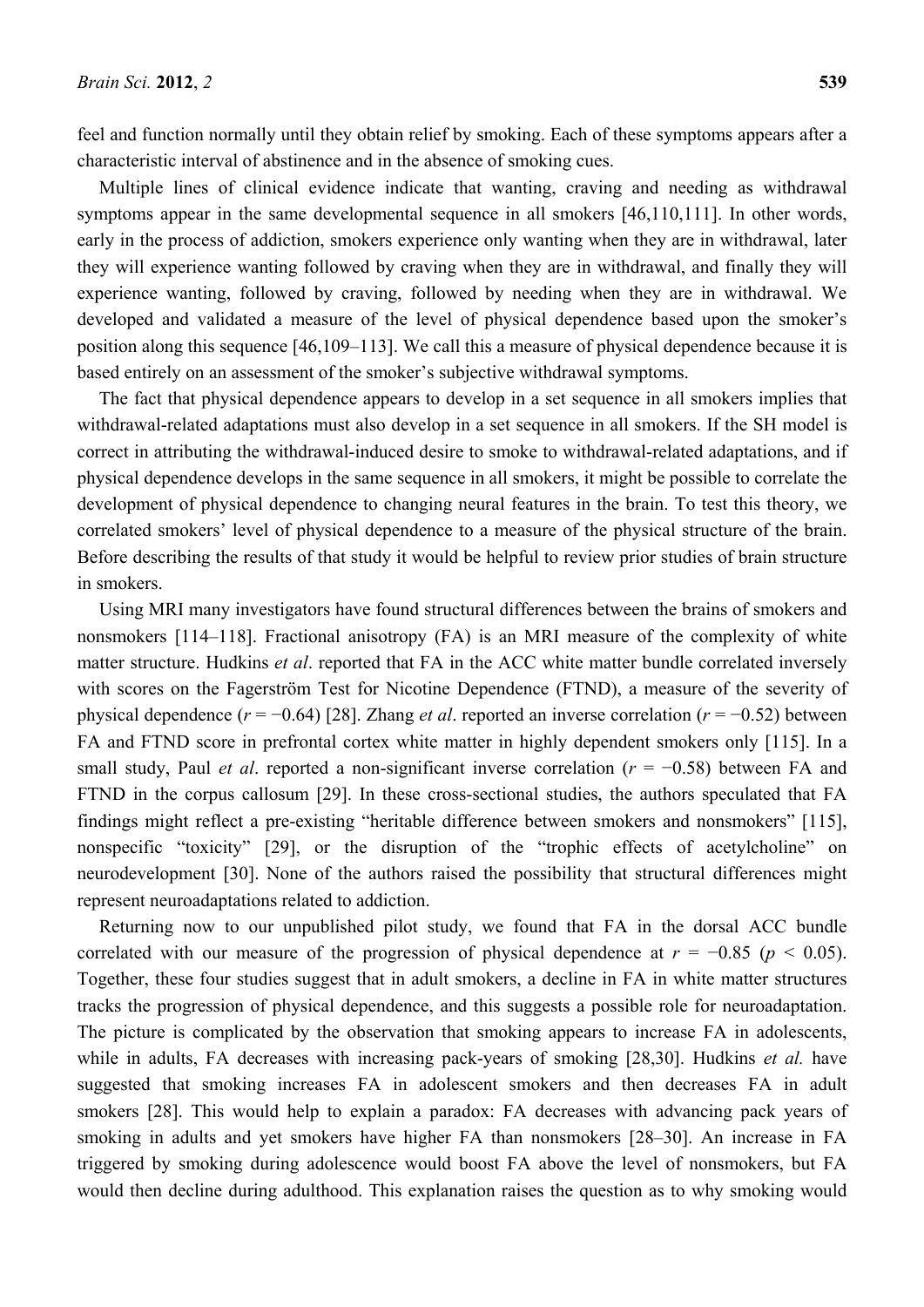feel and function normally until they obtain relief by smoking. Each of these symptoms appears after a characteristic interval of abstinence and in the absence of smoking cues.

Multiple lines of clinical evidence indicate that wanting, craving and needing as withdrawal symptoms appear in the same developmental sequence in all smokers [46,110,111]. In other words, early in the process of addiction, smokers experience only wanting when they are in withdrawal, later they will experience wanting followed by craving when they are in withdrawal, and finally they will experience wanting, followed by craving, followed by needing when they are in withdrawal. We developed and validated a measure of the level of physical dependence based upon the smoker's position along this sequence [46,109–113]. We call this a measure of physical dependence because it is based entirely on an assessment of the smoker's subjective withdrawal symptoms.

The fact that physical dependence appears to develop in a set sequence in all smokers implies that withdrawal-related adaptations must also develop in a set sequence in all smokers. If the SH model is correct in attributing the withdrawal-induced desire to smoke to withdrawal-related adaptations, and if physical dependence develops in the same sequence in all smokers, it might be possible to correlate the development of physical dependence to changing neural features in the brain. To test this theory, we correlated smokers' level of physical dependence to a measure of the physical structure of the brain. Before describing the results of that study it would be helpful to review prior studies of brain structure in smokers.

Using MRI many investigators have found structural differences between the brains of smokers and nonsmokers [114–118]. Fractional anisotropy (FA) is an MRI measure of the complexity of white matter structure. Hudkins *et al*. reported that FA in the ACC white matter bundle correlated inversely with scores on the Fagerström Test for Nicotine Dependence (FTND), a measure of the severity of physical dependence (*r* = −0.64) [28]. Zhang *et al*. reported an inverse correlation (*r* = −0.52) between FA and FTND score in prefrontal cortex white matter in highly dependent smokers only [115]. In a small study, Paul *et al*. reported a non-significant inverse correlation (*r* = −0.58) between FA and FTND in the corpus callosum [29]. In these cross-sectional studies, the authors speculated that FA findings might reflect a pre-existing "heritable difference between smokers and nonsmokers" [115], nonspecific "toxicity" [29], or the disruption of the "trophic effects of acetylcholine" on neurodevelopment [30]. None of the authors raised the possibility that structural differences might represent neuroadaptations related to addiction.

Returning now to our unpublished pilot study, we found that FA in the dorsal ACC bundle correlated with our measure of the progression of physical dependence at  $r = -0.85$  ( $p < 0.05$ ). Together, these four studies suggest that in adult smokers, a decline in FA in white matter structures tracks the progression of physical dependence, and this suggests a possible role for neuroadaptation. The picture is complicated by the observation that smoking appears to increase FA in adolescents, while in adults, FA decreases with increasing pack-years of smoking [28,30]. Hudkins *et al.* have suggested that smoking increases FA in adolescent smokers and then decreases FA in adult smokers [28]. This would help to explain a paradox: FA decreases with advancing pack years of smoking in adults and yet smokers have higher FA than nonsmokers [28–30]. An increase in FA triggered by smoking during adolescence would boost FA above the level of nonsmokers, but FA would then decline during adulthood. This explanation raises the question as to why smoking would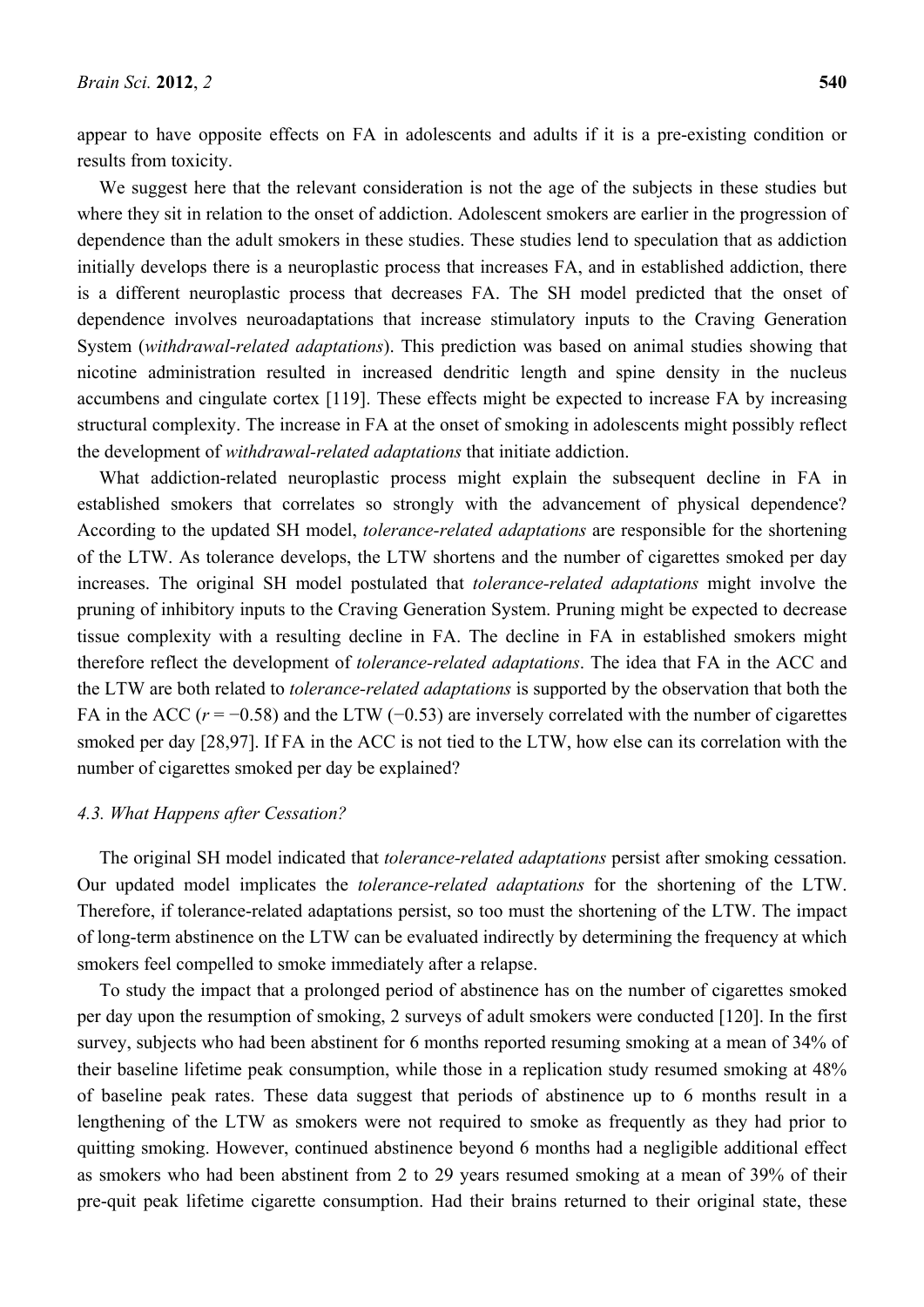appear to have opposite effects on FA in adolescents and adults if it is a pre-existing condition or results from toxicity.

We suggest here that the relevant consideration is not the age of the subjects in these studies but where they sit in relation to the onset of addiction. Adolescent smokers are earlier in the progression of dependence than the adult smokers in these studies. These studies lend to speculation that as addiction initially develops there is a neuroplastic process that increases FA, and in established addiction, there is a different neuroplastic process that decreases FA. The SH model predicted that the onset of dependence involves neuroadaptations that increase stimulatory inputs to the Craving Generation System (*withdrawal-related adaptations*). This prediction was based on animal studies showing that nicotine administration resulted in increased dendritic length and spine density in the nucleus accumbens and cingulate cortex [119]. These effects might be expected to increase FA by increasing structural complexity. The increase in FA at the onset of smoking in adolescents might possibly reflect the development of *withdrawal-related adaptations* that initiate addiction.

What addiction-related neuroplastic process might explain the subsequent decline in FA in established smokers that correlates so strongly with the advancement of physical dependence? According to the updated SH model, *tolerance-related adaptations* are responsible for the shortening of the LTW. As tolerance develops, the LTW shortens and the number of cigarettes smoked per day increases. The original SH model postulated that *tolerance-related adaptations* might involve the pruning of inhibitory inputs to the Craving Generation System. Pruning might be expected to decrease tissue complexity with a resulting decline in FA. The decline in FA in established smokers might therefore reflect the development of *tolerance-related adaptations*. The idea that FA in the ACC and the LTW are both related to *tolerance-related adaptations* is supported by the observation that both the FA in the ACC ( $r = -0.58$ ) and the LTW (-0.53) are inversely correlated with the number of cigarettes smoked per day [28,97]. If FA in the ACC is not tied to the LTW, how else can its correlation with the number of cigarettes smoked per day be explained?

#### *4.3. What Happens after Cessation?*

The original SH model indicated that *tolerance-related adaptations* persist after smoking cessation. Our updated model implicates the *tolerance-related adaptations* for the shortening of the LTW. Therefore, if tolerance-related adaptations persist, so too must the shortening of the LTW. The impact of long-term abstinence on the LTW can be evaluated indirectly by determining the frequency at which smokers feel compelled to smoke immediately after a relapse.

To study the impact that a prolonged period of abstinence has on the number of cigarettes smoked per day upon the resumption of smoking, 2 surveys of adult smokers were conducted [120]. In the first survey, subjects who had been abstinent for 6 months reported resuming smoking at a mean of 34% of their baseline lifetime peak consumption, while those in a replication study resumed smoking at 48% of baseline peak rates. These data suggest that periods of abstinence up to 6 months result in a lengthening of the LTW as smokers were not required to smoke as frequently as they had prior to quitting smoking. However, continued abstinence beyond 6 months had a negligible additional effect as smokers who had been abstinent from 2 to 29 years resumed smoking at a mean of 39% of their pre-quit peak lifetime cigarette consumption. Had their brains returned to their original state, these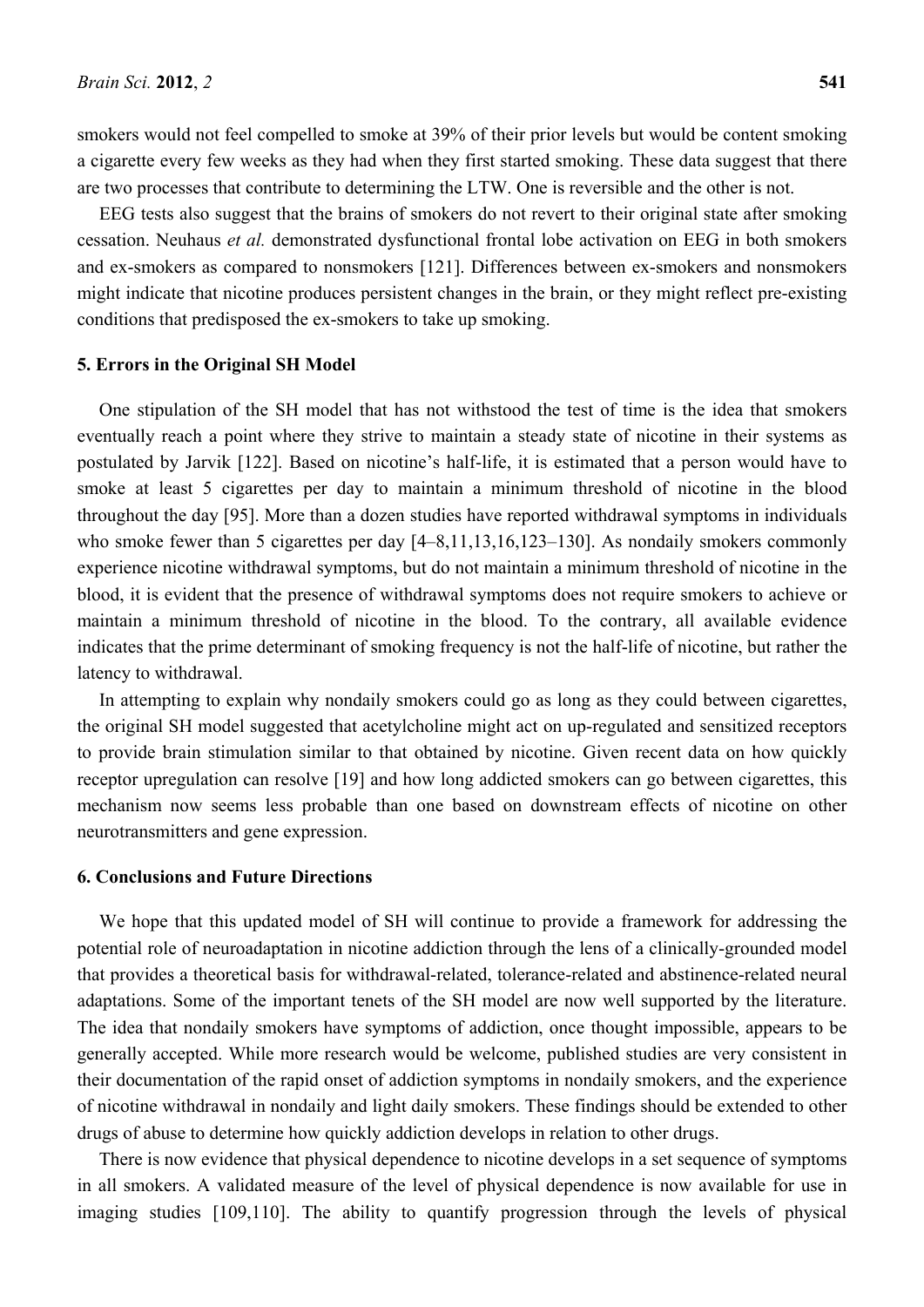smokers would not feel compelled to smoke at 39% of their prior levels but would be content smoking a cigarette every few weeks as they had when they first started smoking. These data suggest that there are two processes that contribute to determining the LTW. One is reversible and the other is not.

EEG tests also suggest that the brains of smokers do not revert to their original state after smoking cessation. Neuhaus *et al.* demonstrated dysfunctional frontal lobe activation on EEG in both smokers and ex-smokers as compared to nonsmokers [121]. Differences between ex-smokers and nonsmokers might indicate that nicotine produces persistent changes in the brain, or they might reflect pre-existing conditions that predisposed the ex-smokers to take up smoking.

### **5. Errors in the Original SH Model**

One stipulation of the SH model that has not withstood the test of time is the idea that smokers eventually reach a point where they strive to maintain a steady state of nicotine in their systems as postulated by Jarvik [122]. Based on nicotine's half-life, it is estimated that a person would have to smoke at least 5 cigarettes per day to maintain a minimum threshold of nicotine in the blood throughout the day [95]. More than a dozen studies have reported withdrawal symptoms in individuals who smoke fewer than 5 cigarettes per day  $[4–8,11,13,16,123–130]$ . As nondaily smokers commonly experience nicotine withdrawal symptoms, but do not maintain a minimum threshold of nicotine in the blood, it is evident that the presence of withdrawal symptoms does not require smokers to achieve or maintain a minimum threshold of nicotine in the blood. To the contrary, all available evidence indicates that the prime determinant of smoking frequency is not the half-life of nicotine, but rather the latency to withdrawal.

In attempting to explain why nondaily smokers could go as long as they could between cigarettes, the original SH model suggested that acetylcholine might act on up-regulated and sensitized receptors to provide brain stimulation similar to that obtained by nicotine. Given recent data on how quickly receptor upregulation can resolve [19] and how long addicted smokers can go between cigarettes, this mechanism now seems less probable than one based on downstream effects of nicotine on other neurotransmitters and gene expression.

### **6. Conclusions and Future Directions**

We hope that this updated model of SH will continue to provide a framework for addressing the potential role of neuroadaptation in nicotine addiction through the lens of a clinically-grounded model that provides a theoretical basis for withdrawal-related, tolerance-related and abstinence-related neural adaptations. Some of the important tenets of the SH model are now well supported by the literature. The idea that nondaily smokers have symptoms of addiction, once thought impossible, appears to be generally accepted. While more research would be welcome, published studies are very consistent in their documentation of the rapid onset of addiction symptoms in nondaily smokers, and the experience of nicotine withdrawal in nondaily and light daily smokers. These findings should be extended to other drugs of abuse to determine how quickly addiction develops in relation to other drugs.

There is now evidence that physical dependence to nicotine develops in a set sequence of symptoms in all smokers. A validated measure of the level of physical dependence is now available for use in imaging studies [109,110]. The ability to quantify progression through the levels of physical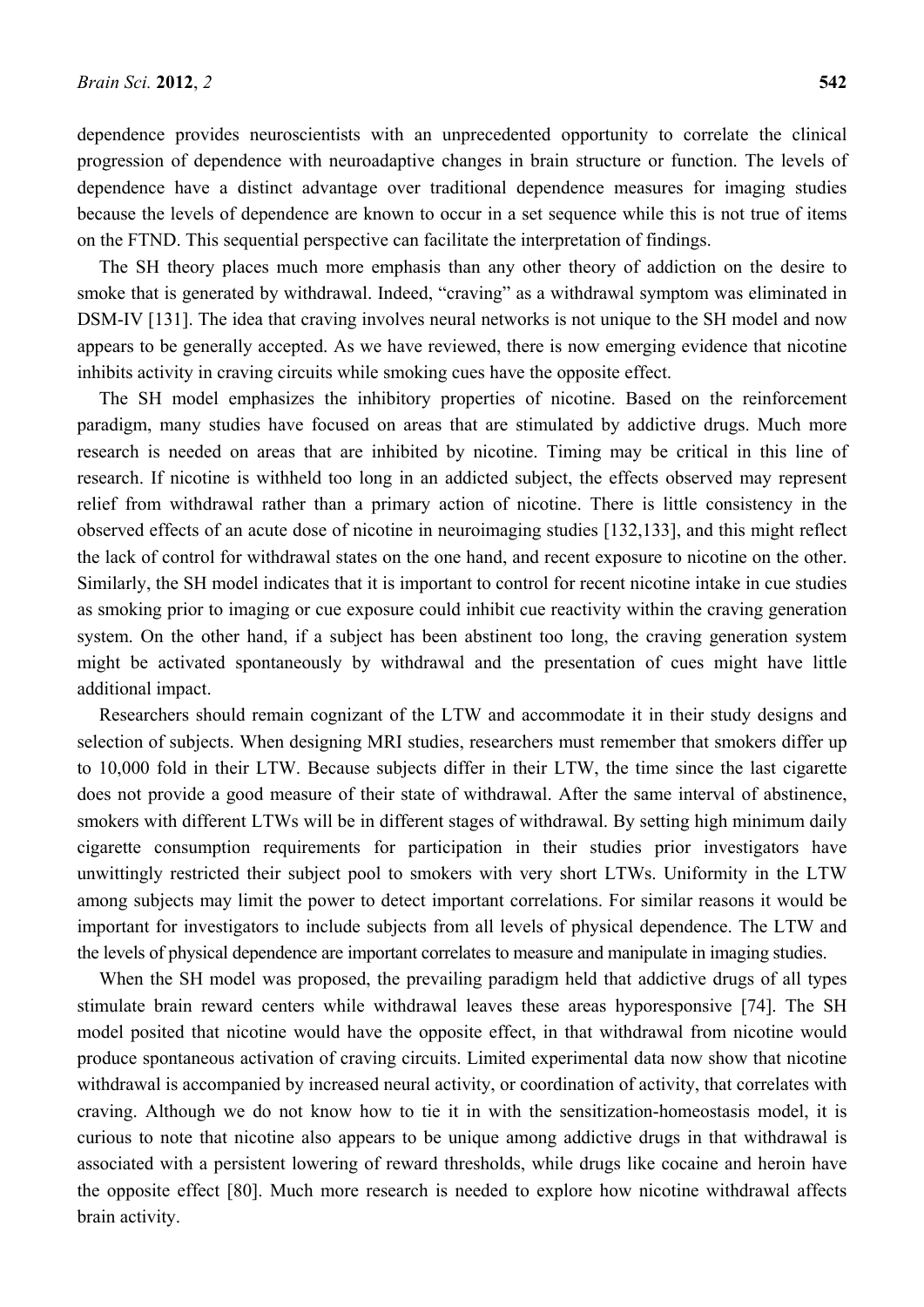dependence provides neuroscientists with an unprecedented opportunity to correlate the clinical progression of dependence with neuroadaptive changes in brain structure or function. The levels of dependence have a distinct advantage over traditional dependence measures for imaging studies because the levels of dependence are known to occur in a set sequence while this is not true of items on the FTND. This sequential perspective can facilitate the interpretation of findings.

The SH theory places much more emphasis than any other theory of addiction on the desire to smoke that is generated by withdrawal. Indeed, "craving" as a withdrawal symptom was eliminated in DSM-IV [131]. The idea that craving involves neural networks is not unique to the SH model and now appears to be generally accepted. As we have reviewed, there is now emerging evidence that nicotine inhibits activity in craving circuits while smoking cues have the opposite effect.

The SH model emphasizes the inhibitory properties of nicotine. Based on the reinforcement paradigm, many studies have focused on areas that are stimulated by addictive drugs. Much more research is needed on areas that are inhibited by nicotine. Timing may be critical in this line of research. If nicotine is withheld too long in an addicted subject, the effects observed may represent relief from withdrawal rather than a primary action of nicotine. There is little consistency in the observed effects of an acute dose of nicotine in neuroimaging studies [132,133], and this might reflect the lack of control for withdrawal states on the one hand, and recent exposure to nicotine on the other. Similarly, the SH model indicates that it is important to control for recent nicotine intake in cue studies as smoking prior to imaging or cue exposure could inhibit cue reactivity within the craving generation system. On the other hand, if a subject has been abstinent too long, the craving generation system might be activated spontaneously by withdrawal and the presentation of cues might have little additional impact.

Researchers should remain cognizant of the LTW and accommodate it in their study designs and selection of subjects. When designing MRI studies, researchers must remember that smokers differ up to 10,000 fold in their LTW. Because subjects differ in their LTW, the time since the last cigarette does not provide a good measure of their state of withdrawal. After the same interval of abstinence, smokers with different LTWs will be in different stages of withdrawal. By setting high minimum daily cigarette consumption requirements for participation in their studies prior investigators have unwittingly restricted their subject pool to smokers with very short LTWs. Uniformity in the LTW among subjects may limit the power to detect important correlations. For similar reasons it would be important for investigators to include subjects from all levels of physical dependence. The LTW and the levels of physical dependence are important correlates to measure and manipulate in imaging studies.

When the SH model was proposed, the prevailing paradigm held that addictive drugs of all types stimulate brain reward centers while withdrawal leaves these areas hyporesponsive [74]. The SH model posited that nicotine would have the opposite effect, in that withdrawal from nicotine would produce spontaneous activation of craving circuits. Limited experimental data now show that nicotine withdrawal is accompanied by increased neural activity, or coordination of activity, that correlates with craving. Although we do not know how to tie it in with the sensitization-homeostasis model, it is curious to note that nicotine also appears to be unique among addictive drugs in that withdrawal is associated with a persistent lowering of reward thresholds, while drugs like cocaine and heroin have the opposite effect [80]. Much more research is needed to explore how nicotine withdrawal affects brain activity.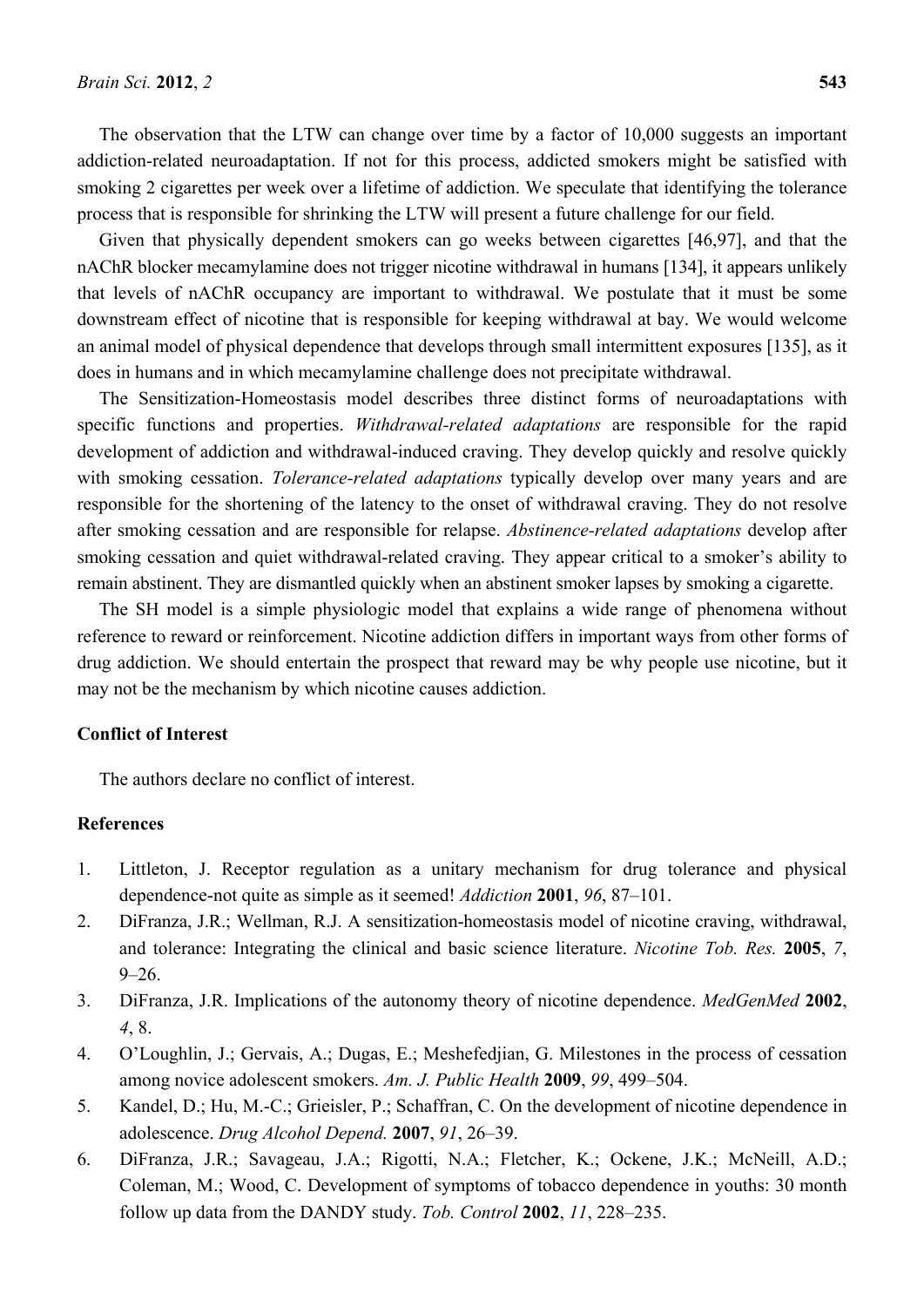The observation that the LTW can change over time by a factor of 10,000 suggests an important addiction-related neuroadaptation. If not for this process, addicted smokers might be satisfied with smoking 2 cigarettes per week over a lifetime of addiction. We speculate that identifying the tolerance process that is responsible for shrinking the LTW will present a future challenge for our field.

Given that physically dependent smokers can go weeks between cigarettes [46,97], and that the nAChR blocker mecamylamine does not trigger nicotine withdrawal in humans [134], it appears unlikely that levels of nAChR occupancy are important to withdrawal. We postulate that it must be some downstream effect of nicotine that is responsible for keeping withdrawal at bay. We would welcome an animal model of physical dependence that develops through small intermittent exposures [135], as it does in humans and in which mecamylamine challenge does not precipitate withdrawal.

The Sensitization-Homeostasis model describes three distinct forms of neuroadaptations with specific functions and properties. *Withdrawal-related adaptations* are responsible for the rapid development of addiction and withdrawal-induced craving. They develop quickly and resolve quickly with smoking cessation. *Tolerance-related adaptations* typically develop over many years and are responsible for the shortening of the latency to the onset of withdrawal craving. They do not resolve after smoking cessation and are responsible for relapse. *Abstinence-related adaptations* develop after smoking cessation and quiet withdrawal-related craving. They appear critical to a smoker's ability to remain abstinent. They are dismantled quickly when an abstinent smoker lapses by smoking a cigarette.

The SH model is a simple physiologic model that explains a wide range of phenomena without reference to reward or reinforcement. Nicotine addiction differs in important ways from other forms of drug addiction. We should entertain the prospect that reward may be why people use nicotine, but it may not be the mechanism by which nicotine causes addiction.

### **Conflict of Interest**

The authors declare no conflict of interest.

### **References**

- 1. Littleton, J. Receptor regulation as a unitary mechanism for drug tolerance and physical dependence-not quite as simple as it seemed! *Addiction* **2001**, *96*, 87–101.
- 2. DiFranza, J.R.; Wellman, R.J. A sensitization-homeostasis model of nicotine craving, withdrawal, and tolerance: Integrating the clinical and basic science literature. *Nicotine Tob. Res.* **2005**, *7*,  $9 - 26.$
- 3. DiFranza, J.R. Implications of the autonomy theory of nicotine dependence. *MedGenMed* **2002**, *4*, 8.
- 4. O'Loughlin, J.; Gervais, A.; Dugas, E.; Meshefedjian, G. Milestones in the process of cessation among novice adolescent smokers. *Am. J. Public Health* **2009**, *99*, 499–504.
- 5. Kandel, D.; Hu, M.-C.; Grieisler, P.; Schaffran, C. On the development of nicotine dependence in adolescence. *Drug Alcohol Depend.* **2007**, *91*, 26–39.
- 6. DiFranza, J.R.; Savageau, J.A.; Rigotti, N.A.; Fletcher, K.; Ockene, J.K.; McNeill, A.D.; Coleman, M.; Wood, C. Development of symptoms of tobacco dependence in youths: 30 month follow up data from the DANDY study. *Tob. Control* **2002**, *11*, 228–235.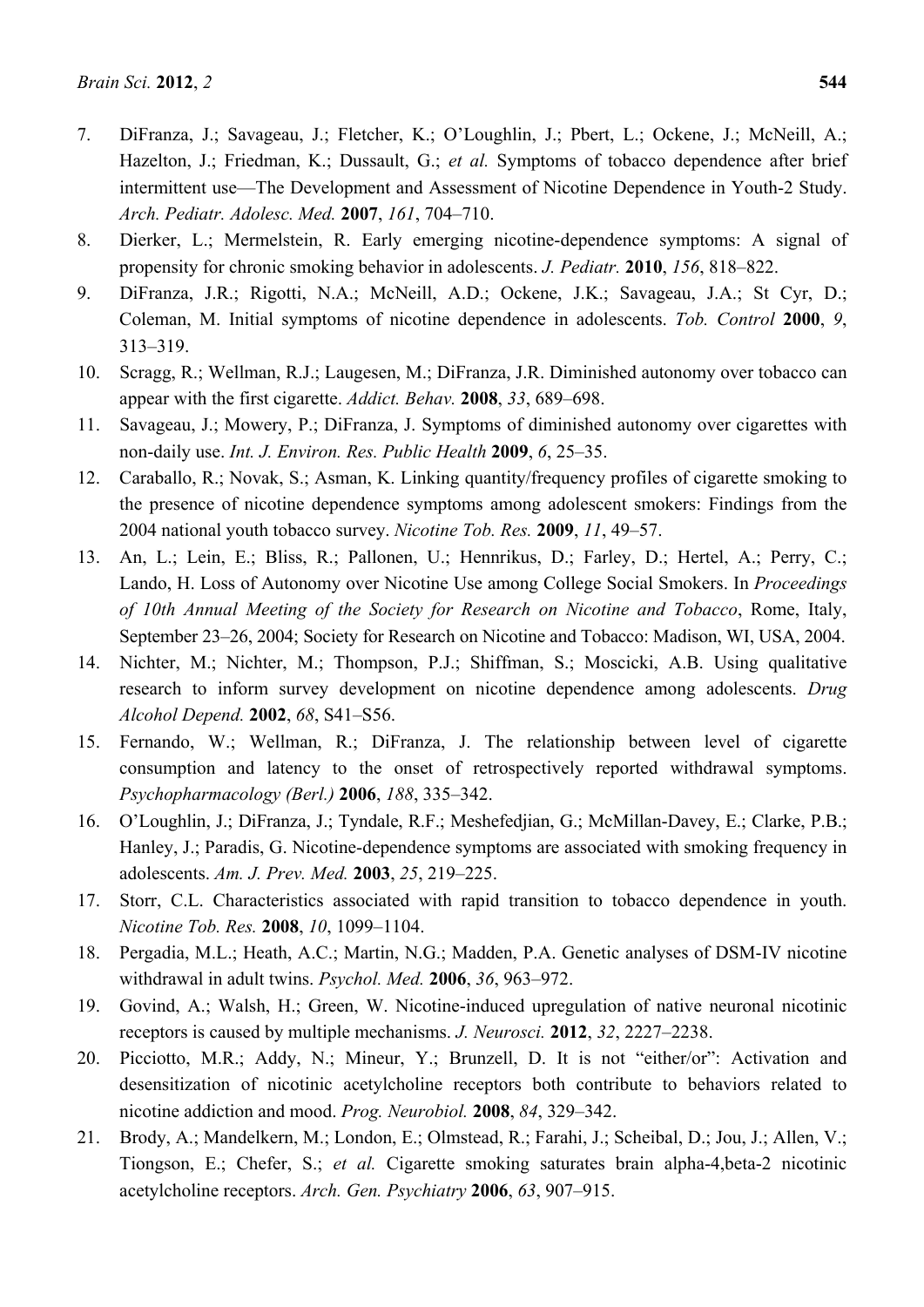- 7. DiFranza, J.; Savageau, J.; Fletcher, K.; O'Loughlin, J.; Pbert, L.; Ockene, J.; McNeill, A.; Hazelton, J.; Friedman, K.; Dussault, G.; et al. Symptoms of tobacco dependence after brief intermittent use—The Development and Assessment of Nicotine Dependence in Youth-2 Study. *Arch. Pediatr. Adolesc. Med.* **2007**, *161*, 704–710.
- 8. Dierker, L.; Mermelstein, R. Early emerging nicotine-dependence symptoms: A signal of propensity for chronic smoking behavior in adolescents. *J. Pediatr.* **2010**, *156*, 818–822.
- 9. DiFranza, J.R.; Rigotti, N.A.; McNeill, A.D.; Ockene, J.K.; Savageau, J.A.; St Cyr, D.; Coleman, M. Initial symptoms of nicotine dependence in adolescents. *Tob. Control* **2000**, *9*, 313–319.
- 10. Scragg, R.; Wellman, R.J.; Laugesen, M.; DiFranza, J.R. Diminished autonomy over tobacco can appear with the first cigarette. *Addict. Behav.* **2008**, *33*, 689–698.
- 11. Savageau, J.; Mowery, P.; DiFranza, J. Symptoms of diminished autonomy over cigarettes with non-daily use. *Int. J. Environ. Res. Public Health* **2009**, *6*, 25–35.
- 12. Caraballo, R.; Novak, S.; Asman, K. Linking quantity/frequency profiles of cigarette smoking to the presence of nicotine dependence symptoms among adolescent smokers: Findings from the 2004 national youth tobacco survey. *Nicotine Tob. Res.* **2009**, *11*, 49–57.
- 13. An, L.; Lein, E.; Bliss, R.; Pallonen, U.; Hennrikus, D.; Farley, D.; Hertel, A.; Perry, C.; Lando, H. Loss of Autonomy over Nicotine Use among College Social Smokers. In *Proceedings of 10th Annual Meeting of the Society for Research on Nicotine and Tobacco*, Rome, Italy, September 23–26, 2004; Society for Research on Nicotine and Tobacco: Madison, WI, USA, 2004.
- 14. Nichter, M.; Nichter, M.; Thompson, P.J.; Shiffman, S.; Moscicki, A.B. Using qualitative research to inform survey development on nicotine dependence among adolescents. *Drug Alcohol Depend.* **2002**, *68*, S41–S56.
- 15. Fernando, W.; Wellman, R.; DiFranza, J. The relationship between level of cigarette consumption and latency to the onset of retrospectively reported withdrawal symptoms. *Psychopharmacology (Berl.)* **2006**, *188*, 335–342.
- 16. O'Loughlin, J.; DiFranza, J.; Tyndale, R.F.; Meshefedjian, G.; McMillan-Davey, E.; Clarke, P.B.; Hanley, J.; Paradis, G. Nicotine-dependence symptoms are associated with smoking frequency in adolescents. *Am. J. Prev. Med.* **2003**, *25*, 219–225.
- 17. Storr, C.L. Characteristics associated with rapid transition to tobacco dependence in youth. *Nicotine Tob. Res.* **2008**, *10*, 1099–1104.
- 18. Pergadia, M.L.; Heath, A.C.; Martin, N.G.; Madden, P.A. Genetic analyses of DSM-IV nicotine withdrawal in adult twins. *Psychol. Med.* **2006**, *36*, 963–972.
- 19. Govind, A.; Walsh, H.; Green, W. Nicotine-induced upregulation of native neuronal nicotinic receptors is caused by multiple mechanisms. *J. Neurosci.* **2012**, *32*, 2227–2238.
- 20. Picciotto, M.R.; Addy, N.; Mineur, Y.; Brunzell, D. It is not "either/or": Activation and desensitization of nicotinic acetylcholine receptors both contribute to behaviors related to nicotine addiction and mood. *Prog. Neurobiol.* **2008**, *84*, 329–342.
- 21. Brody, A.; Mandelkern, M.; London, E.; Olmstead, R.; Farahi, J.; Scheibal, D.; Jou, J.; Allen, V.; Tiongson, E.; Chefer, S.; *et al.* Cigarette smoking saturates brain alpha-4,beta-2 nicotinic acetylcholine receptors. *Arch. Gen. Psychiatry* **2006**, *63*, 907–915.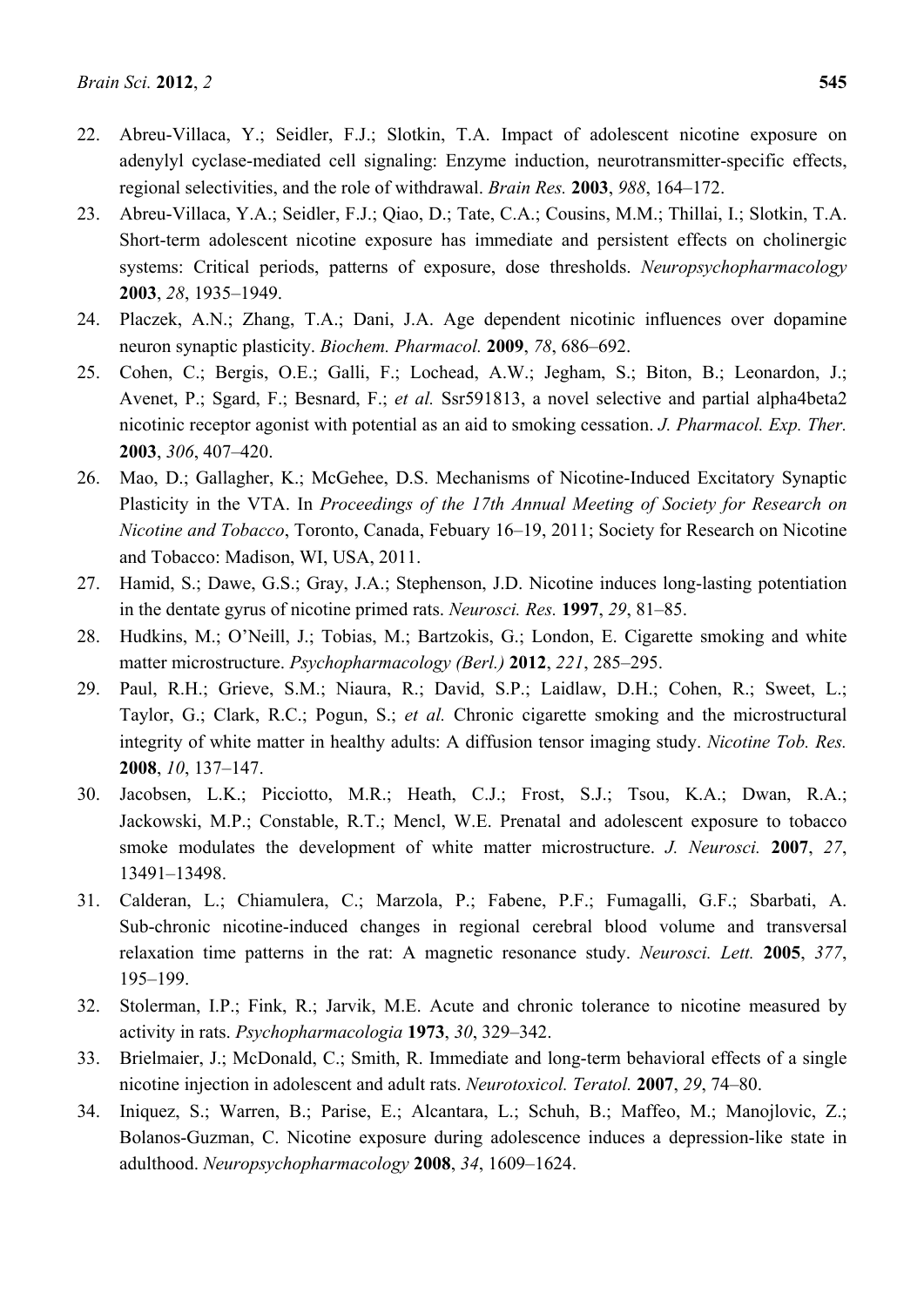- 22. Abreu-Villaca, Y.; Seidler, F.J.; Slotkin, T.A. Impact of adolescent nicotine exposure on adenylyl cyclase-mediated cell signaling: Enzyme induction, neurotransmitter-specific effects, regional selectivities, and the role of withdrawal. *Brain Res.* **2003**, *988*, 164–172.
- 23. Abreu-Villaca, Y.A.; Seidler, F.J.; Qiao, D.; Tate, C.A.; Cousins, M.M.; Thillai, I.; Slotkin, T.A. Short-term adolescent nicotine exposure has immediate and persistent effects on cholinergic systems: Critical periods, patterns of exposure, dose thresholds. *Neuropsychopharmacology*  **2003**, *28*, 1935–1949.
- 24. Placzek, A.N.; Zhang, T.A.; Dani, J.A. Age dependent nicotinic influences over dopamine neuron synaptic plasticity. *Biochem. Pharmacol.* **2009**, *78*, 686–692.
- 25. Cohen, C.; Bergis, O.E.; Galli, F.; Lochead, A.W.; Jegham, S.; Biton, B.; Leonardon, J.; Avenet, P.; Sgard, F.; Besnard, F.; *et al.* Ssr591813, a novel selective and partial alpha4beta2 nicotinic receptor agonist with potential as an aid to smoking cessation. *J. Pharmacol. Exp. Ther.*  **2003**, *306*, 407–420.
- 26. Mao, D.; Gallagher, K.; McGehee, D.S. Mechanisms of Nicotine-Induced Excitatory Synaptic Plasticity in the VTA. In *Proceedings of the 17th Annual Meeting of Society for Research on Nicotine and Tobacco*, Toronto, Canada, Febuary 16–19, 2011; Society for Research on Nicotine and Tobacco: Madison, WI, USA, 2011.
- 27. Hamid, S.; Dawe, G.S.; Gray, J.A.; Stephenson, J.D. Nicotine induces long-lasting potentiation in the dentate gyrus of nicotine primed rats. *Neurosci. Res.* **1997**, *29*, 81–85.
- 28. Hudkins, M.; O'Neill, J.; Tobias, M.; Bartzokis, G.; London, E. Cigarette smoking and white matter microstructure. *Psychopharmacology (Berl.)* **2012**, *221*, 285–295.
- 29. Paul, R.H.; Grieve, S.M.; Niaura, R.; David, S.P.; Laidlaw, D.H.; Cohen, R.; Sweet, L.; Taylor, G.; Clark, R.C.; Pogun, S.; *et al.* Chronic cigarette smoking and the microstructural integrity of white matter in healthy adults: A diffusion tensor imaging study. *Nicotine Tob. Res.*  **2008**, *10*, 137–147.
- 30. Jacobsen, L.K.; Picciotto, M.R.; Heath, C.J.; Frost, S.J.; Tsou, K.A.; Dwan, R.A.; Jackowski, M.P.; Constable, R.T.; Mencl, W.E. Prenatal and adolescent exposure to tobacco smoke modulates the development of white matter microstructure. *J. Neurosci.* **2007**, *27*, 13491–13498.
- 31. Calderan, L.; Chiamulera, C.; Marzola, P.; Fabene, P.F.; Fumagalli, G.F.; Sbarbati, A. Sub-chronic nicotine-induced changes in regional cerebral blood volume and transversal relaxation time patterns in the rat: A magnetic resonance study. *Neurosci. Lett.* **2005**, *377*, 195–199.
- 32. Stolerman, I.P.; Fink, R.; Jarvik, M.E. Acute and chronic tolerance to nicotine measured by activity in rats. *Psychopharmacologia* **1973**, *30*, 329–342.
- 33. Brielmaier, J.; McDonald, C.; Smith, R. Immediate and long-term behavioral effects of a single nicotine injection in adolescent and adult rats. *Neurotoxicol. Teratol.* **2007**, *29*, 74–80.
- 34. Iniquez, S.; Warren, B.; Parise, E.; Alcantara, L.; Schuh, B.; Maffeo, M.; Manojlovic, Z.; Bolanos-Guzman, C. Nicotine exposure during adolescence induces a depression-like state in adulthood. *Neuropsychopharmacology* **2008**, *34*, 1609–1624.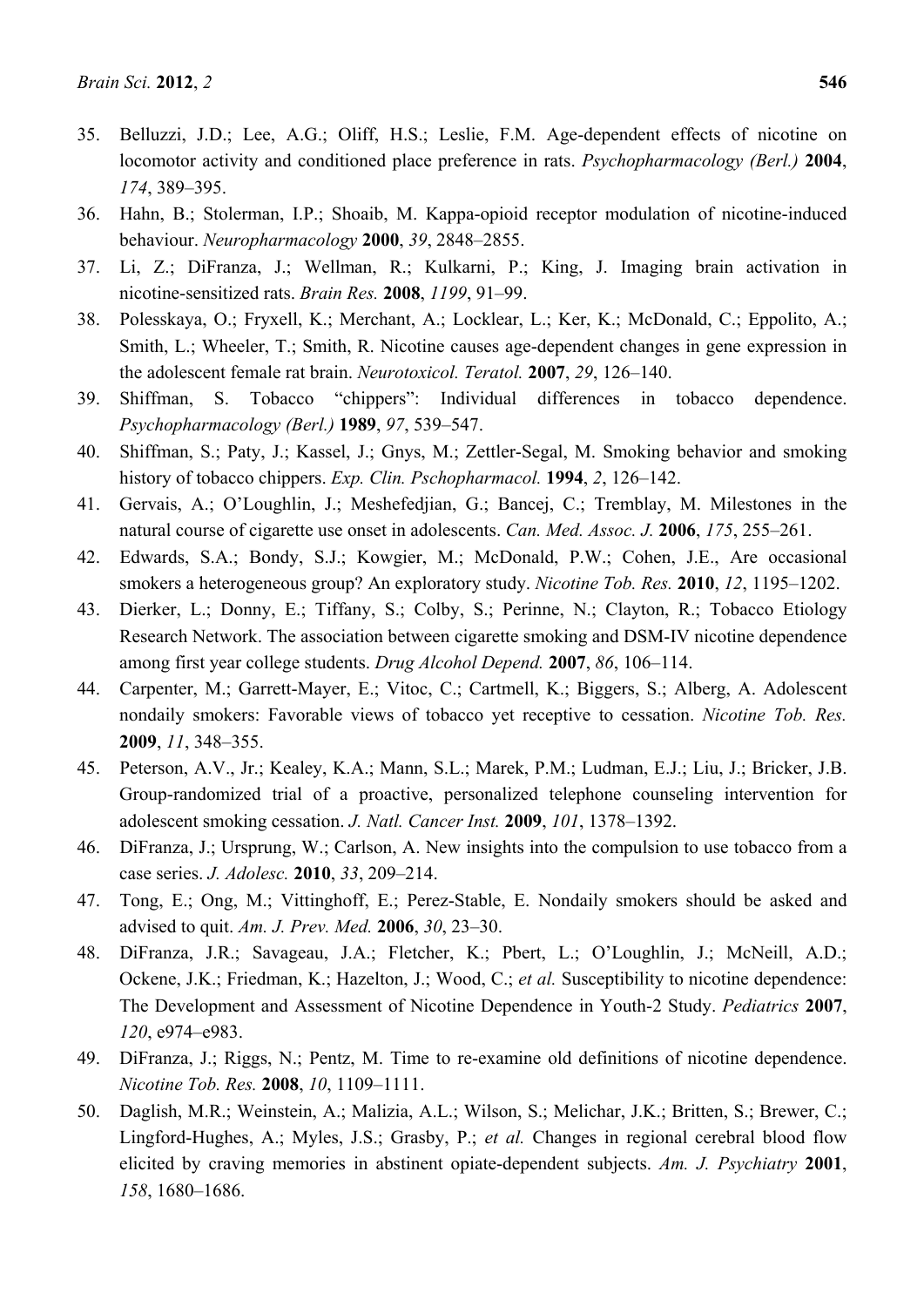- 35. Belluzzi, J.D.; Lee, A.G.; Oliff, H.S.; Leslie, F.M. Age-dependent effects of nicotine on locomotor activity and conditioned place preference in rats. *Psychopharmacology (Berl.)* **2004**, *174*, 389–395.
- 36. Hahn, B.; Stolerman, I.P.; Shoaib, M. Kappa-opioid receptor modulation of nicotine-induced behaviour. *Neuropharmacology* **2000**, *39*, 2848–2855.
- 37. Li, Z.; DiFranza, J.; Wellman, R.; Kulkarni, P.; King, J. Imaging brain activation in nicotine-sensitized rats. *Brain Res.* **2008**, *1199*, 91–99.
- 38. Polesskaya, O.; Fryxell, K.; Merchant, A.; Locklear, L.; Ker, K.; McDonald, C.; Eppolito, A.; Smith, L.; Wheeler, T.; Smith, R. Nicotine causes age-dependent changes in gene expression in the adolescent female rat brain. *Neurotoxicol. Teratol.* **2007**, *29*, 126–140.
- 39. Shiffman, S. Tobacco "chippers": Individual differences in tobacco dependence. *Psychopharmacology (Berl.)* **1989**, *97*, 539–547.
- 40. Shiffman, S.; Paty, J.; Kassel, J.; Gnys, M.; Zettler-Segal, M. Smoking behavior and smoking history of tobacco chippers. *Exp. Clin. Pschopharmacol.* **1994**, *2*, 126–142.
- 41. Gervais, A.; O'Loughlin, J.; Meshefedjian, G.; Bancej, C.; Tremblay, M. Milestones in the natural course of cigarette use onset in adolescents. *Can. Med. Assoc. J.* **2006**, *175*, 255–261.
- 42. Edwards, S.A.; Bondy, S.J.; Kowgier, M.; McDonald, P.W.; Cohen, J.E., Are occasional smokers a heterogeneous group? An exploratory study. *Nicotine Tob. Res.* **2010**, *12*, 1195–1202.
- 43. Dierker, L.; Donny, E.; Tiffany, S.; Colby, S.; Perinne, N.; Clayton, R.; Tobacco Etiology Research Network. The association between cigarette smoking and DSM-IV nicotine dependence among first year college students. *Drug Alcohol Depend.* **2007**, *86*, 106–114.
- 44. Carpenter, M.; Garrett-Mayer, E.; Vitoc, C.; Cartmell, K.; Biggers, S.; Alberg, A. Adolescent nondaily smokers: Favorable views of tobacco yet receptive to cessation. *Nicotine Tob. Res.*  **2009**, *11*, 348–355.
- 45. Peterson, A.V., Jr.; Kealey, K.A.; Mann, S.L.; Marek, P.M.; Ludman, E.J.; Liu, J.; Bricker, J.B. Group-randomized trial of a proactive, personalized telephone counseling intervention for adolescent smoking cessation. *J. Natl. Cancer Inst.* **2009**, *101*, 1378–1392.
- 46. DiFranza, J.; Ursprung, W.; Carlson, A. New insights into the compulsion to use tobacco from a case series. *J. Adolesc.* **2010**, *33*, 209–214.
- 47. Tong, E.; Ong, M.; Vittinghoff, E.; Perez-Stable, E. Nondaily smokers should be asked and advised to quit. *Am. J. Prev. Med.* **2006**, *30*, 23–30.
- 48. DiFranza, J.R.; Savageau, J.A.; Fletcher, K.; Pbert, L.; O'Loughlin, J.; McNeill, A.D.; Ockene, J.K.; Friedman, K.; Hazelton, J.; Wood, C.; *et al.* Susceptibility to nicotine dependence: The Development and Assessment of Nicotine Dependence in Youth-2 Study. *Pediatrics* **2007**, *120*, e974–e983.
- 49. DiFranza, J.; Riggs, N.; Pentz, M. Time to re-examine old definitions of nicotine dependence. *Nicotine Tob. Res.* **2008**, *10*, 1109–1111.
- 50. Daglish, M.R.; Weinstein, A.; Malizia, A.L.; Wilson, S.; Melichar, J.K.; Britten, S.; Brewer, C.; Lingford-Hughes, A.; Myles, J.S.; Grasby, P.; *et al.* Changes in regional cerebral blood flow elicited by craving memories in abstinent opiate-dependent subjects. *Am. J. Psychiatry* **2001**, *158*, 1680–1686.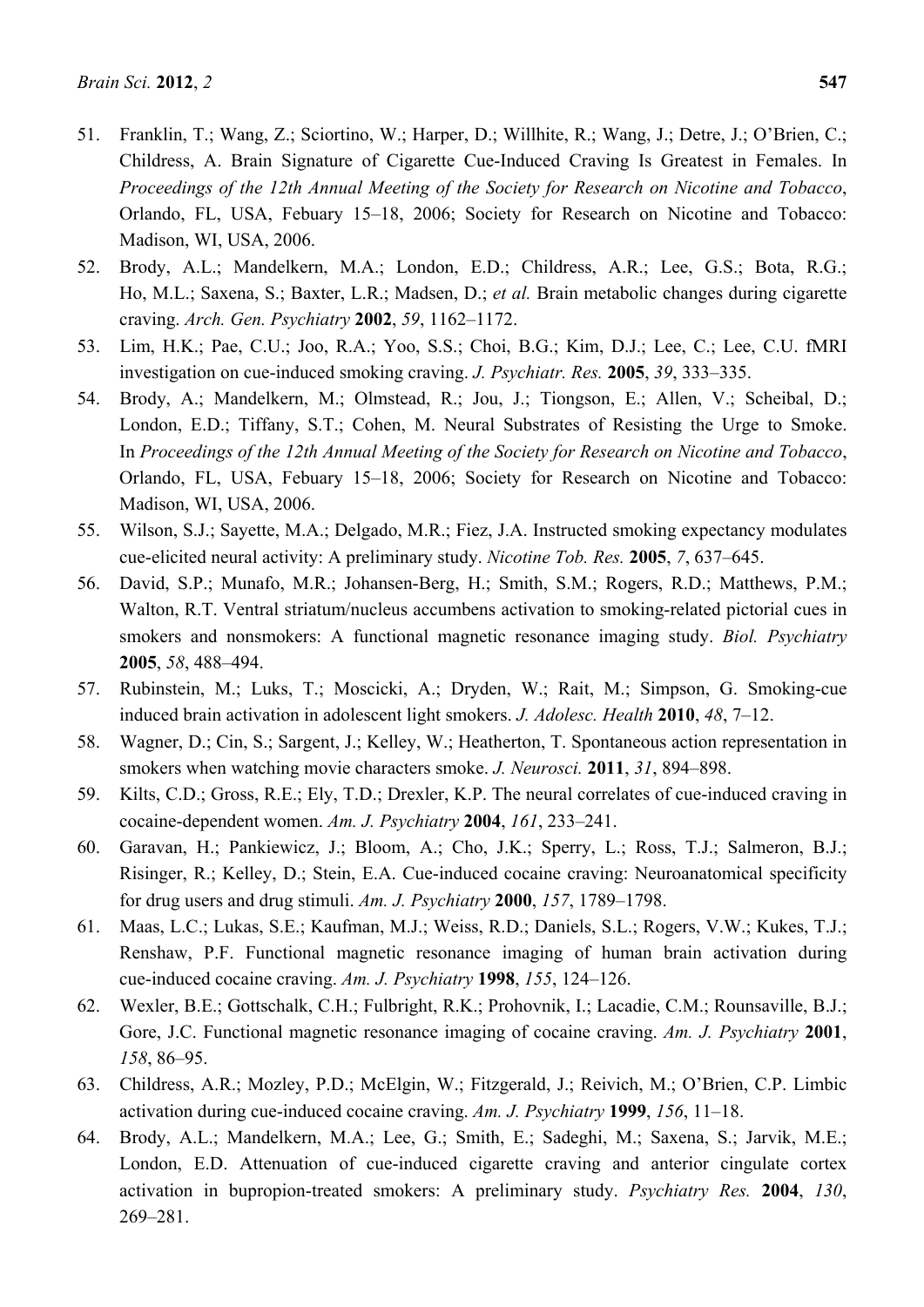- 51. Franklin, T.; Wang, Z.; Sciortino, W.; Harper, D.; Willhite, R.; Wang, J.; Detre, J.; O'Brien, C.; Childress, A. Brain Signature of Cigarette Cue-Induced Craving Is Greatest in Females. In *Proceedings of the 12th Annual Meeting of the Society for Research on Nicotine and Tobacco*, Orlando, FL, USA, Febuary 15–18, 2006; Society for Research on Nicotine and Tobacco: Madison, WI, USA, 2006.
- 52. Brody, A.L.; Mandelkern, M.A.; London, E.D.; Childress, A.R.; Lee, G.S.; Bota, R.G.; Ho, M.L.; Saxena, S.; Baxter, L.R.; Madsen, D.; *et al.* Brain metabolic changes during cigarette craving. *Arch. Gen. Psychiatry* **2002**, *59*, 1162–1172.
- 53. Lim, H.K.; Pae, C.U.; Joo, R.A.; Yoo, S.S.; Choi, B.G.; Kim, D.J.; Lee, C.; Lee, C.U. fMRI investigation on cue-induced smoking craving. *J. Psychiatr. Res.* **2005**, *39*, 333–335.
- 54. Brody, A.; Mandelkern, M.; Olmstead, R.; Jou, J.; Tiongson, E.; Allen, V.; Scheibal, D.; London, E.D.; Tiffany, S.T.; Cohen, M. Neural Substrates of Resisting the Urge to Smoke. In *Proceedings of the 12th Annual Meeting of the Society for Research on Nicotine and Tobacco*, Orlando, FL, USA, Febuary 15–18, 2006; Society for Research on Nicotine and Tobacco: Madison, WI, USA, 2006.
- 55. Wilson, S.J.; Sayette, M.A.; Delgado, M.R.; Fiez, J.A. Instructed smoking expectancy modulates cue-elicited neural activity: A preliminary study. *Nicotine Tob. Res.* **2005**, *7*, 637–645.
- 56. David, S.P.; Munafo, M.R.; Johansen-Berg, H.; Smith, S.M.; Rogers, R.D.; Matthews, P.M.; Walton, R.T. Ventral striatum/nucleus accumbens activation to smoking-related pictorial cues in smokers and nonsmokers: A functional magnetic resonance imaging study. *Biol. Psychiatry*  **2005**, *58*, 488–494.
- 57. Rubinstein, M.; Luks, T.; Moscicki, A.; Dryden, W.; Rait, M.; Simpson, G. Smoking-cue induced brain activation in adolescent light smokers. *J. Adolesc. Health* **2010**, *48*, 7–12.
- 58. Wagner, D.; Cin, S.; Sargent, J.; Kelley, W.; Heatherton, T. Spontaneous action representation in smokers when watching movie characters smoke. *J. Neurosci.* **2011**, *31*, 894–898.
- 59. Kilts, C.D.; Gross, R.E.; Ely, T.D.; Drexler, K.P. The neural correlates of cue-induced craving in cocaine-dependent women. *Am. J. Psychiatry* **2004**, *161*, 233–241.
- 60. Garavan, H.; Pankiewicz, J.; Bloom, A.; Cho, J.K.; Sperry, L.; Ross, T.J.; Salmeron, B.J.; Risinger, R.; Kelley, D.; Stein, E.A. Cue-induced cocaine craving: Neuroanatomical specificity for drug users and drug stimuli. *Am. J. Psychiatry* **2000**, *157*, 1789–1798.
- 61. Maas, L.C.; Lukas, S.E.; Kaufman, M.J.; Weiss, R.D.; Daniels, S.L.; Rogers, V.W.; Kukes, T.J.; Renshaw, P.F. Functional magnetic resonance imaging of human brain activation during cue-induced cocaine craving. *Am. J. Psychiatry* **1998**, *155*, 124–126.
- 62. Wexler, B.E.; Gottschalk, C.H.; Fulbright, R.K.; Prohovnik, I.; Lacadie, C.M.; Rounsaville, B.J.; Gore, J.C. Functional magnetic resonance imaging of cocaine craving. *Am. J. Psychiatry* **2001**, *158*, 86–95.
- 63. Childress, A.R.; Mozley, P.D.; McElgin, W.; Fitzgerald, J.; Reivich, M.; O'Brien, C.P. Limbic activation during cue-induced cocaine craving. *Am. J. Psychiatry* **1999**, *156*, 11–18.
- 64. Brody, A.L.; Mandelkern, M.A.; Lee, G.; Smith, E.; Sadeghi, M.; Saxena, S.; Jarvik, M.E.; London, E.D. Attenuation of cue-induced cigarette craving and anterior cingulate cortex activation in bupropion-treated smokers: A preliminary study. *Psychiatry Res.* **2004**, *130*, 269–281.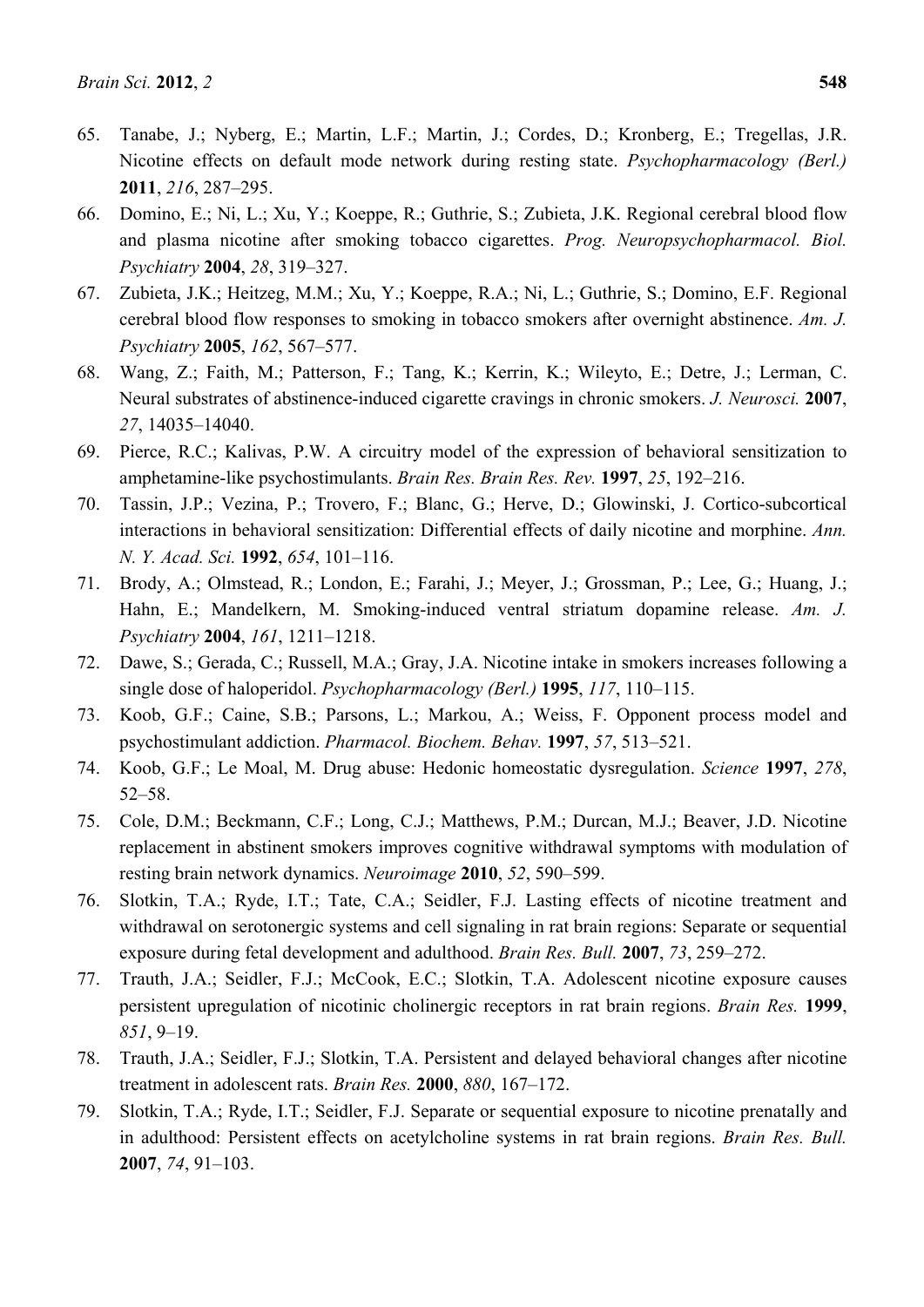- 65. Tanabe, J.; Nyberg, E.; Martin, L.F.; Martin, J.; Cordes, D.; Kronberg, E.; Tregellas, J.R. Nicotine effects on default mode network during resting state. *Psychopharmacology (Berl.)*  **2011**, *216*, 287–295.
- 66. Domino, E.; Ni, L.; Xu, Y.; Koeppe, R.; Guthrie, S.; Zubieta, J.K. Regional cerebral blood flow and plasma nicotine after smoking tobacco cigarettes. *Prog. Neuropsychopharmacol. Biol. Psychiatry* **2004**, *28*, 319–327.
- 67. Zubieta, J.K.; Heitzeg, M.M.; Xu, Y.; Koeppe, R.A.; Ni, L.; Guthrie, S.; Domino, E.F. Regional cerebral blood flow responses to smoking in tobacco smokers after overnight abstinence. *Am. J. Psychiatry* **2005**, *162*, 567–577.
- 68. Wang, Z.; Faith, M.; Patterson, F.; Tang, K.; Kerrin, K.; Wileyto, E.; Detre, J.; Lerman, C. Neural substrates of abstinence-induced cigarette cravings in chronic smokers. *J. Neurosci.* **2007**, *27*, 14035–14040.
- 69. Pierce, R.C.; Kalivas, P.W. A circuitry model of the expression of behavioral sensitization to amphetamine-like psychostimulants. *Brain Res. Brain Res. Rev.* **1997**, *25*, 192–216.
- 70. Tassin, J.P.; Vezina, P.; Trovero, F.; Blanc, G.; Herve, D.; Glowinski, J. Cortico-subcortical interactions in behavioral sensitization: Differential effects of daily nicotine and morphine. *Ann. N. Y. Acad. Sci.* **1992**, *654*, 101–116.
- 71. Brody, A.; Olmstead, R.; London, E.; Farahi, J.; Meyer, J.; Grossman, P.; Lee, G.; Huang, J.; Hahn, E.; Mandelkern, M. Smoking-induced ventral striatum dopamine release. *Am. J. Psychiatry* **2004**, *161*, 1211–1218.
- 72. Dawe, S.; Gerada, C.; Russell, M.A.; Gray, J.A. Nicotine intake in smokers increases following a single dose of haloperidol. *Psychopharmacology (Berl.)* **1995**, *117*, 110–115.
- 73. Koob, G.F.; Caine, S.B.; Parsons, L.; Markou, A.; Weiss, F. Opponent process model and psychostimulant addiction. *Pharmacol. Biochem. Behav.* **1997**, *57*, 513–521.
- 74. Koob, G.F.; Le Moal, M. Drug abuse: Hedonic homeostatic dysregulation. *Science* **1997**, *278*, 52–58.
- 75. Cole, D.M.; Beckmann, C.F.; Long, C.J.; Matthews, P.M.; Durcan, M.J.; Beaver, J.D. Nicotine replacement in abstinent smokers improves cognitive withdrawal symptoms with modulation of resting brain network dynamics. *Neuroimage* **2010**, *52*, 590–599.
- 76. Slotkin, T.A.; Ryde, I.T.; Tate, C.A.; Seidler, F.J. Lasting effects of nicotine treatment and withdrawal on serotonergic systems and cell signaling in rat brain regions: Separate or sequential exposure during fetal development and adulthood. *Brain Res. Bull.* **2007**, *73*, 259–272.
- 77. Trauth, J.A.; Seidler, F.J.; McCook, E.C.; Slotkin, T.A. Adolescent nicotine exposure causes persistent upregulation of nicotinic cholinergic receptors in rat brain regions. *Brain Res.* **1999**, *851*, 9–19.
- 78. Trauth, J.A.; Seidler, F.J.; Slotkin, T.A. Persistent and delayed behavioral changes after nicotine treatment in adolescent rats. *Brain Res.* **2000**, *880*, 167–172.
- 79. Slotkin, T.A.; Ryde, I.T.; Seidler, F.J. Separate or sequential exposure to nicotine prenatally and in adulthood: Persistent effects on acetylcholine systems in rat brain regions. *Brain Res. Bull.*  **2007**, *74*, 91–103.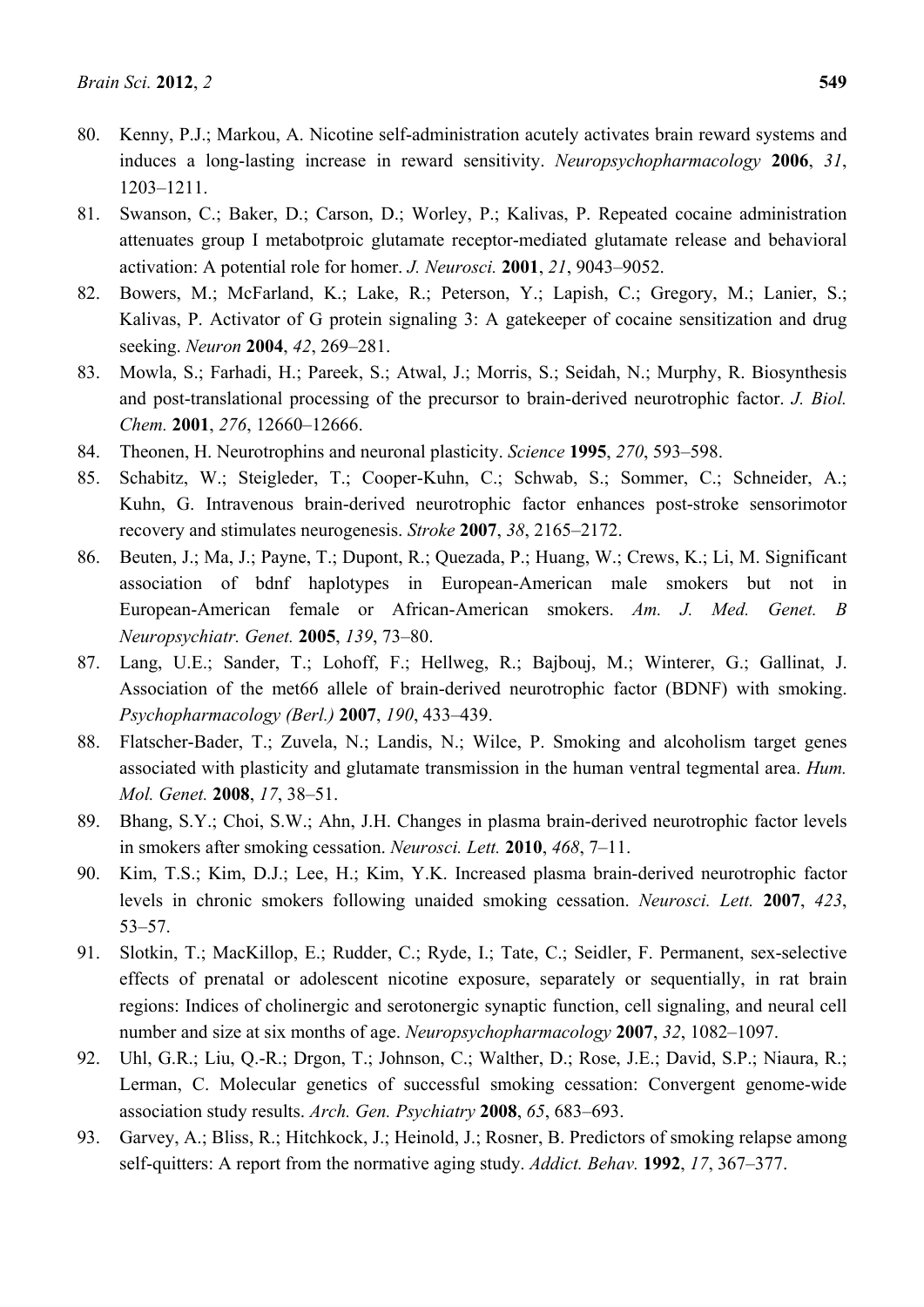- 80. Kenny, P.J.; Markou, A. Nicotine self-administration acutely activates brain reward systems and induces a long-lasting increase in reward sensitivity. *Neuropsychopharmacology* **2006**, *31*, 1203–1211.
- 81. Swanson, C.; Baker, D.; Carson, D.; Worley, P.; Kalivas, P. Repeated cocaine administration attenuates group I metabotproic glutamate receptor-mediated glutamate release and behavioral activation: A potential role for homer. *J. Neurosci.* **2001**, *21*, 9043–9052.
- 82. Bowers, M.; McFarland, K.; Lake, R.; Peterson, Y.; Lapish, C.; Gregory, M.; Lanier, S.; Kalivas, P. Activator of G protein signaling 3: A gatekeeper of cocaine sensitization and drug seeking. *Neuron* **2004**, *42*, 269–281.
- 83. Mowla, S.; Farhadi, H.; Pareek, S.; Atwal, J.; Morris, S.; Seidah, N.; Murphy, R. Biosynthesis and post-translational processing of the precursor to brain-derived neurotrophic factor. *J. Biol. Chem.* **2001**, *276*, 12660–12666.
- 84. Theonen, H. Neurotrophins and neuronal plasticity. *Science* **1995**, *270*, 593–598.
- 85. Schabitz, W.; Steigleder, T.; Cooper-Kuhn, C.; Schwab, S.; Sommer, C.; Schneider, A.; Kuhn, G. Intravenous brain-derived neurotrophic factor enhances post-stroke sensorimotor recovery and stimulates neurogenesis. *Stroke* **2007**, *38*, 2165–2172.
- 86. Beuten, J.; Ma, J.; Payne, T.; Dupont, R.; Quezada, P.; Huang, W.; Crews, K.; Li, M. Significant association of bdnf haplotypes in European-American male smokers but not in European-American female or African-American smokers. *Am. J. Med. Genet. B Neuropsychiatr. Genet.* **2005**, *139*, 73–80.
- 87. Lang, U.E.; Sander, T.; Lohoff, F.; Hellweg, R.; Bajbouj, M.; Winterer, G.; Gallinat, J. Association of the met66 allele of brain-derived neurotrophic factor (BDNF) with smoking. *Psychopharmacology (Berl.)* **2007**, *190*, 433–439.
- 88. Flatscher-Bader, T.; Zuvela, N.; Landis, N.; Wilce, P. Smoking and alcoholism target genes associated with plasticity and glutamate transmission in the human ventral tegmental area. *Hum. Mol. Genet.* **2008**, *17*, 38–51.
- 89. Bhang, S.Y.; Choi, S.W.; Ahn, J.H. Changes in plasma brain-derived neurotrophic factor levels in smokers after smoking cessation. *Neurosci. Lett.* **2010**, *468*, 7–11.
- 90. Kim, T.S.; Kim, D.J.; Lee, H.; Kim, Y.K. Increased plasma brain-derived neurotrophic factor levels in chronic smokers following unaided smoking cessation. *Neurosci. Lett.* **2007**, *423*, 53–57.
- 91. Slotkin, T.; MacKillop, E.; Rudder, C.; Ryde, I.; Tate, C.; Seidler, F. Permanent, sex-selective effects of prenatal or adolescent nicotine exposure, separately or sequentially, in rat brain regions: Indices of cholinergic and serotonergic synaptic function, cell signaling, and neural cell number and size at six months of age. *Neuropsychopharmacology* **2007**, *32*, 1082–1097.
- 92. Uhl, G.R.; Liu, Q.-R.; Drgon, T.; Johnson, C.; Walther, D.; Rose, J.E.; David, S.P.; Niaura, R.; Lerman, C. Molecular genetics of successful smoking cessation: Convergent genome-wide association study results. *Arch. Gen. Psychiatry* **2008**, *65*, 683–693.
- 93. Garvey, A.; Bliss, R.; Hitchkock, J.; Heinold, J.; Rosner, B. Predictors of smoking relapse among self-quitters: A report from the normative aging study. *Addict. Behav.* **1992**, *17*, 367–377.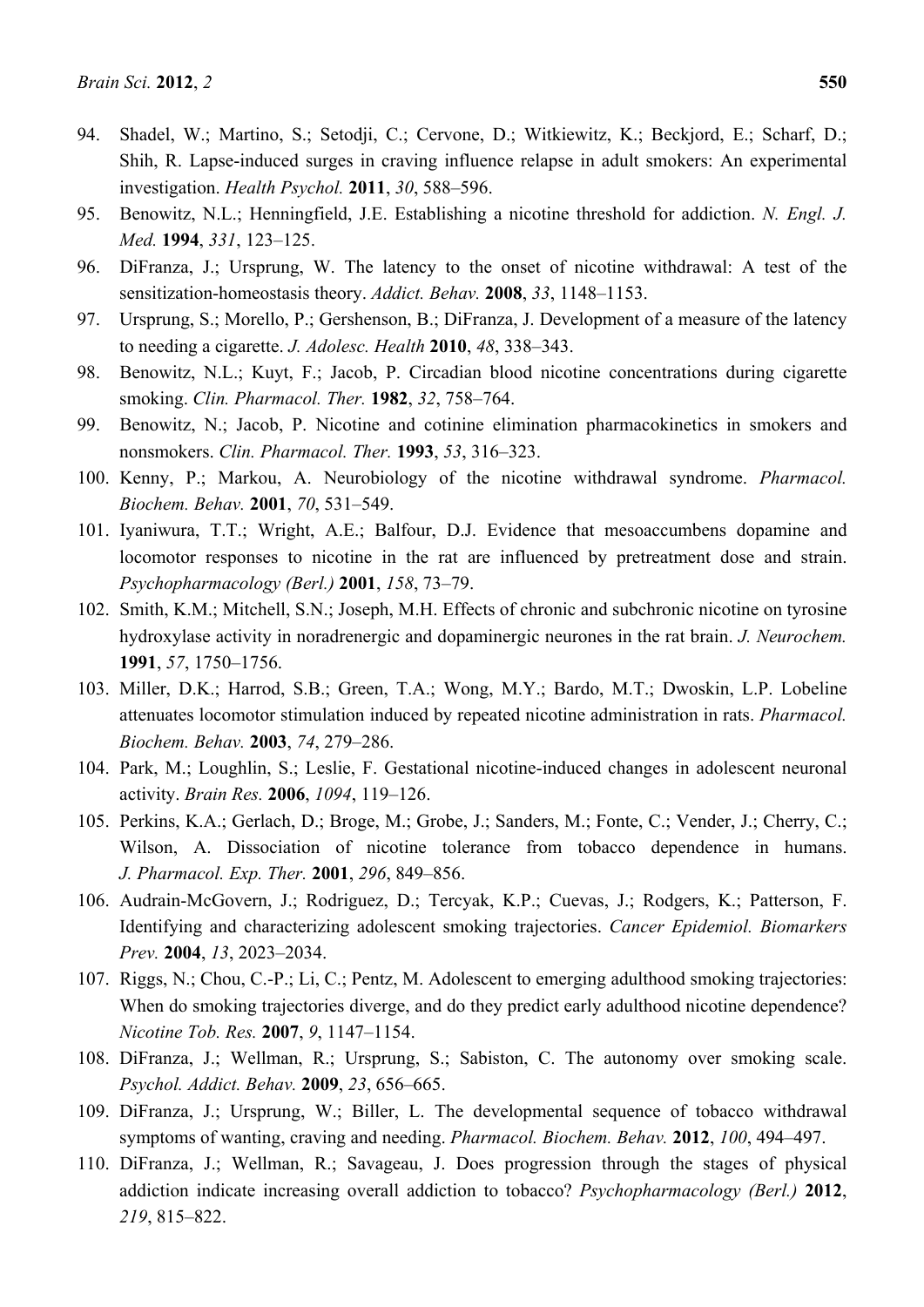- 94. Shadel, W.; Martino, S.; Setodji, C.; Cervone, D.; Witkiewitz, K.; Beckjord, E.; Scharf, D.; Shih, R. Lapse-induced surges in craving influence relapse in adult smokers: An experimental investigation. *Health Psychol.* **2011**, *30*, 588–596.
- 95. Benowitz, N.L.; Henningfield, J.E. Establishing a nicotine threshold for addiction. *N. Engl. J. Med.* **1994**, *331*, 123–125.
- 96. DiFranza, J.; Ursprung, W. The latency to the onset of nicotine withdrawal: A test of the sensitization-homeostasis theory. *Addict. Behav.* **2008**, *33*, 1148–1153.
- 97. Ursprung, S.; Morello, P.; Gershenson, B.; DiFranza, J. Development of a measure of the latency to needing a cigarette. *J. Adolesc. Health* **2010**, *48*, 338–343.
- 98. Benowitz, N.L.; Kuyt, F.; Jacob, P. Circadian blood nicotine concentrations during cigarette smoking. *Clin. Pharmacol. Ther.* **1982**, *32*, 758–764.
- 99. Benowitz, N.; Jacob, P. Nicotine and cotinine elimination pharmacokinetics in smokers and nonsmokers. *Clin. Pharmacol. Ther.* **1993**, *53*, 316–323.
- 100. Kenny, P.; Markou, A. Neurobiology of the nicotine withdrawal syndrome. *Pharmacol. Biochem. Behav.* **2001**, *70*, 531–549.
- 101. Iyaniwura, T.T.; Wright, A.E.; Balfour, D.J. Evidence that mesoaccumbens dopamine and locomotor responses to nicotine in the rat are influenced by pretreatment dose and strain. *Psychopharmacology (Berl.)* **2001**, *158*, 73–79.
- 102. Smith, K.M.; Mitchell, S.N.; Joseph, M.H. Effects of chronic and subchronic nicotine on tyrosine hydroxylase activity in noradrenergic and dopaminergic neurones in the rat brain. *J. Neurochem.*  **1991**, *57*, 1750–1756.
- 103. Miller, D.K.; Harrod, S.B.; Green, T.A.; Wong, M.Y.; Bardo, M.T.; Dwoskin, L.P. Lobeline attenuates locomotor stimulation induced by repeated nicotine administration in rats. *Pharmacol. Biochem. Behav.* **2003**, *74*, 279–286.
- 104. Park, M.; Loughlin, S.; Leslie, F. Gestational nicotine-induced changes in adolescent neuronal activity. *Brain Res.* **2006**, *1094*, 119–126.
- 105. Perkins, K.A.; Gerlach, D.; Broge, M.; Grobe, J.; Sanders, M.; Fonte, C.; Vender, J.; Cherry, C.; Wilson, A. Dissociation of nicotine tolerance from tobacco dependence in humans. *J. Pharmacol. Exp. Ther.* **2001**, *296*, 849–856.
- 106. Audrain-McGovern, J.; Rodriguez, D.; Tercyak, K.P.; Cuevas, J.; Rodgers, K.; Patterson, F. Identifying and characterizing adolescent smoking trajectories. *Cancer Epidemiol. Biomarkers Prev.* **2004**, *13*, 2023–2034.
- 107. Riggs, N.; Chou, C.-P.; Li, C.; Pentz, M. Adolescent to emerging adulthood smoking trajectories: When do smoking trajectories diverge, and do they predict early adulthood nicotine dependence? *Nicotine Tob. Res.* **2007**, *9*, 1147–1154.
- 108. DiFranza, J.; Wellman, R.; Ursprung, S.; Sabiston, C. The autonomy over smoking scale. *Psychol. Addict. Behav.* **2009**, *23*, 656–665.
- 109. DiFranza, J.; Ursprung, W.; Biller, L. The developmental sequence of tobacco withdrawal symptoms of wanting, craving and needing. *Pharmacol. Biochem. Behav.* **2012**, *100*, 494–497.
- 110. DiFranza, J.; Wellman, R.; Savageau, J. Does progression through the stages of physical addiction indicate increasing overall addiction to tobacco? *Psychopharmacology (Berl.)* **2012**, *219*, 815–822.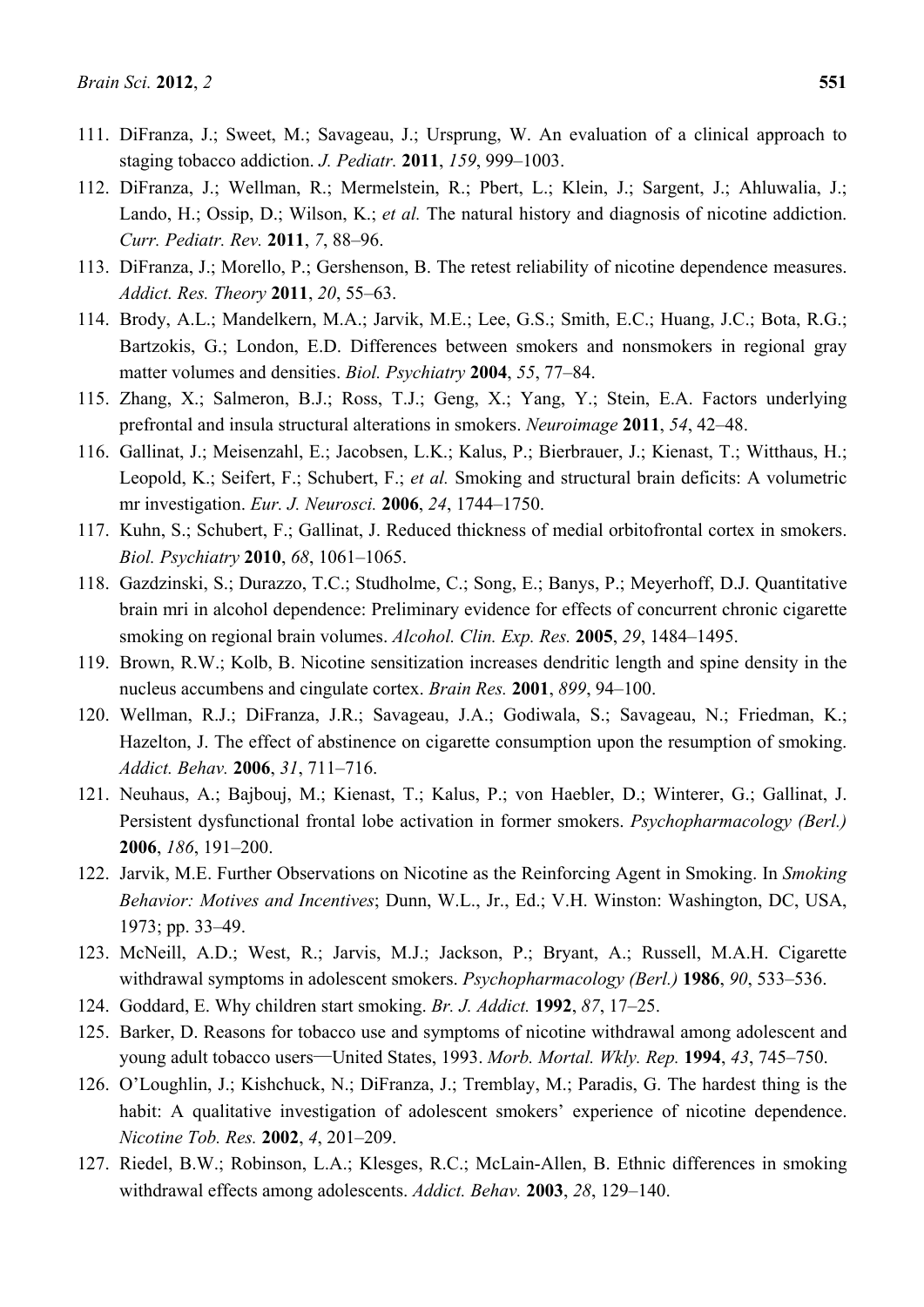- 111. DiFranza, J.; Sweet, M.; Savageau, J.; Ursprung, W. An evaluation of a clinical approach to staging tobacco addiction. *J. Pediatr.* **2011**, *159*, 999–1003.
- 112. DiFranza, J.; Wellman, R.; Mermelstein, R.; Pbert, L.; Klein, J.; Sargent, J.; Ahluwalia, J.; Lando, H.; Ossip, D.; Wilson, K.; *et al.* The natural history and diagnosis of nicotine addiction. *Curr. Pediatr. Rev.* **2011**, *7*, 88–96.
- 113. DiFranza, J.; Morello, P.; Gershenson, B. The retest reliability of nicotine dependence measures. *Addict. Res. Theory* **2011**, *20*, 55–63.
- 114. Brody, A.L.; Mandelkern, M.A.; Jarvik, M.E.; Lee, G.S.; Smith, E.C.; Huang, J.C.; Bota, R.G.; Bartzokis, G.; London, E.D. Differences between smokers and nonsmokers in regional gray matter volumes and densities. *Biol. Psychiatry* **2004**, *55*, 77–84.
- 115. Zhang, X.; Salmeron, B.J.; Ross, T.J.; Geng, X.; Yang, Y.; Stein, E.A. Factors underlying prefrontal and insula structural alterations in smokers. *Neuroimage* **2011**, *54*, 42–48.
- 116. Gallinat, J.; Meisenzahl, E.; Jacobsen, L.K.; Kalus, P.; Bierbrauer, J.; Kienast, T.; Witthaus, H.; Leopold, K.; Seifert, F.; Schubert, F.; *et al.* Smoking and structural brain deficits: A volumetric mr investigation. *Eur. J. Neurosci.* **2006**, *24*, 1744–1750.
- 117. Kuhn, S.; Schubert, F.; Gallinat, J. Reduced thickness of medial orbitofrontal cortex in smokers. *Biol. Psychiatry* **2010**, *68*, 1061–1065.
- 118. Gazdzinski, S.; Durazzo, T.C.; Studholme, C.; Song, E.; Banys, P.; Meyerhoff, D.J. Quantitative brain mri in alcohol dependence: Preliminary evidence for effects of concurrent chronic cigarette smoking on regional brain volumes. *Alcohol. Clin. Exp. Res.* **2005**, *29*, 1484–1495.
- 119. Brown, R.W.; Kolb, B. Nicotine sensitization increases dendritic length and spine density in the nucleus accumbens and cingulate cortex. *Brain Res.* **2001**, *899*, 94–100.
- 120. Wellman, R.J.; DiFranza, J.R.; Savageau, J.A.; Godiwala, S.; Savageau, N.; Friedman, K.; Hazelton, J. The effect of abstinence on cigarette consumption upon the resumption of smoking. *Addict. Behav.* **2006**, *31*, 711–716.
- 121. Neuhaus, A.; Bajbouj, M.; Kienast, T.; Kalus, P.; von Haebler, D.; Winterer, G.; Gallinat, J. Persistent dysfunctional frontal lobe activation in former smokers. *Psychopharmacology (Berl.)*  **2006**, *186*, 191–200.
- 122. Jarvik, M.E. Further Observations on Nicotine as the Reinforcing Agent in Smoking. In *Smoking Behavior: Motives and Incentives*; Dunn, W.L., Jr., Ed.; V.H. Winston: Washington, DC, USA, 1973; pp. 33–49.
- 123. McNeill, A.D.; West, R.; Jarvis, M.J.; Jackson, P.; Bryant, A.; Russell, M.A.H. Cigarette withdrawal symptoms in adolescent smokers. *Psychopharmacology (Berl.)* **1986**, *90*, 533–536.
- 124. Goddard, E. Why children start smoking. *Br. J. Addict.* **1992**, *87*, 17–25.
- 125. Barker, D. Reasons for tobacco use and symptoms of nicotine withdrawal among adolescent and young adult tobacco users—United States, 1993. *Morb. Mortal. Wkly. Rep.* **1994**, *43*, 745–750.
- 126. O'Loughlin, J.; Kishchuck, N.; DiFranza, J.; Tremblay, M.; Paradis, G. The hardest thing is the habit: A qualitative investigation of adolescent smokers' experience of nicotine dependence. *Nicotine Tob. Res.* **2002**, *4*, 201–209.
- 127. Riedel, B.W.; Robinson, L.A.; Klesges, R.C.; McLain-Allen, B. Ethnic differences in smoking withdrawal effects among adolescents. *Addict. Behav.* **2003**, *28*, 129–140.